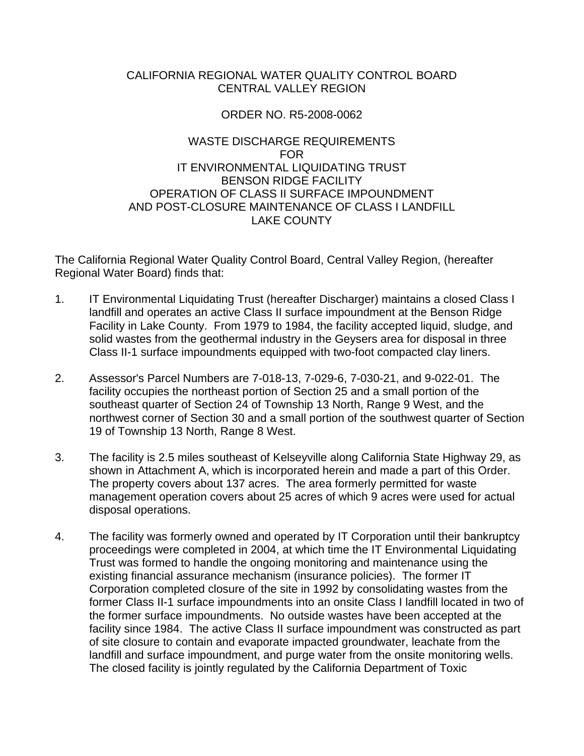# CALIFORNIA REGIONAL WATER QUALITY CONTROL BOARD CENTRAL VALLEY REGION

### ORDER NO. R5-2008-0062

# WASTE DISCHARGE REQUIREMENTS FOR IT ENVIRONMENTAL LIQUIDATING TRUST BENSON RIDGE FACILITY OPERATION OF CLASS II SURFACE IMPOUNDMENT AND POST-CLOSURE MAINTENANCE OF CLASS I LANDFILL LAKE COUNTY

The California Regional Water Quality Control Board, Central Valley Region, (hereafter Regional Water Board) finds that:

- 1. IT Environmental Liquidating Trust (hereafter Discharger) maintains a closed Class I landfill and operates an active Class II surface impoundment at the Benson Ridge Facility in Lake County. From 1979 to 1984, the facility accepted liquid, sludge, and solid wastes from the geothermal industry in the Geysers area for disposal in three Class II-1 surface impoundments equipped with two-foot compacted clay liners.
- 2. Assessor's Parcel Numbers are 7-018-13, 7-029-6, 7-030-21, and 9-022-01. The facility occupies the northeast portion of Section 25 and a small portion of the southeast quarter of Section 24 of Township 13 North, Range 9 West, and the northwest corner of Section 30 and a small portion of the southwest quarter of Section 19 of Township 13 North, Range 8 West.
- 3. The facility is 2.5 miles southeast of Kelseyville along California State Highway 29, as shown in Attachment A, which is incorporated herein and made a part of this Order. The property covers about 137 acres. The area formerly permitted for waste management operation covers about 25 acres of which 9 acres were used for actual disposal operations.
- 4. The facility was formerly owned and operated by IT Corporation until their bankruptcy proceedings were completed in 2004, at which time the IT Environmental Liquidating Trust was formed to handle the ongoing monitoring and maintenance using the existing financial assurance mechanism (insurance policies). The former IT Corporation completed closure of the site in 1992 by consolidating wastes from the former Class II-1 surface impoundments into an onsite Class I landfill located in two of the former surface impoundments. No outside wastes have been accepted at the facility since 1984. The active Class II surface impoundment was constructed as part of site closure to contain and evaporate impacted groundwater, leachate from the landfill and surface impoundment, and purge water from the onsite monitoring wells. The closed facility is jointly regulated by the California Department of Toxic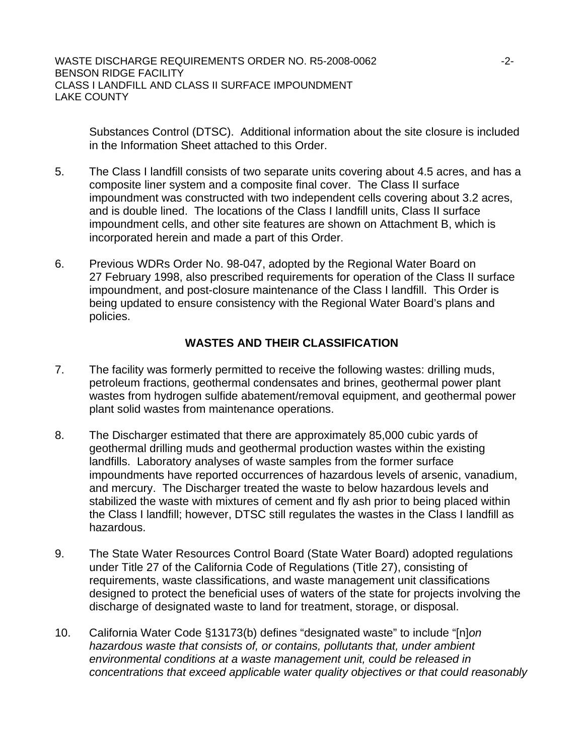Substances Control (DTSC). Additional information about the site closure is included in the Information Sheet attached to this Order.

- 5. The Class I landfill consists of two separate units covering about 4.5 acres, and has a composite liner system and a composite final cover. The Class II surface impoundment was constructed with two independent cells covering about 3.2 acres, and is double lined. The locations of the Class I landfill units, Class II surface impoundment cells, and other site features are shown on Attachment B, which is incorporated herein and made a part of this Order.
- 6. Previous WDRs Order No. 98-047, adopted by the Regional Water Board on 27 February 1998, also prescribed requirements for operation of the Class II surface impoundment, and post-closure maintenance of the Class I landfill. This Order is being updated to ensure consistency with the Regional Water Board's plans and policies.

# **WASTES AND THEIR CLASSIFICATION**

- 7. The facility was formerly permitted to receive the following wastes: drilling muds, petroleum fractions, geothermal condensates and brines, geothermal power plant wastes from hydrogen sulfide abatement/removal equipment, and geothermal power plant solid wastes from maintenance operations.
- 8. The Discharger estimated that there are approximately 85,000 cubic yards of geothermal drilling muds and geothermal production wastes within the existing landfills. Laboratory analyses of waste samples from the former surface impoundments have reported occurrences of hazardous levels of arsenic, vanadium, and mercury. The Discharger treated the waste to below hazardous levels and stabilized the waste with mixtures of cement and fly ash prior to being placed within the Class I landfill; however, DTSC still regulates the wastes in the Class I landfill as hazardous.
- 9. The State Water Resources Control Board (State Water Board) adopted regulations under Title 27 of the California Code of Regulations (Title 27), consisting of requirements, waste classifications, and waste management unit classifications designed to protect the beneficial uses of waters of the state for projects involving the discharge of designated waste to land for treatment, storage, or disposal.
- 10. California Water Code §13173(b) defines "designated waste" to include "[n]*on hazardous waste that consists of, or contains, pollutants that, under ambient environmental conditions at a waste management unit, could be released in concentrations that exceed applicable water quality objectives or that could reasonably*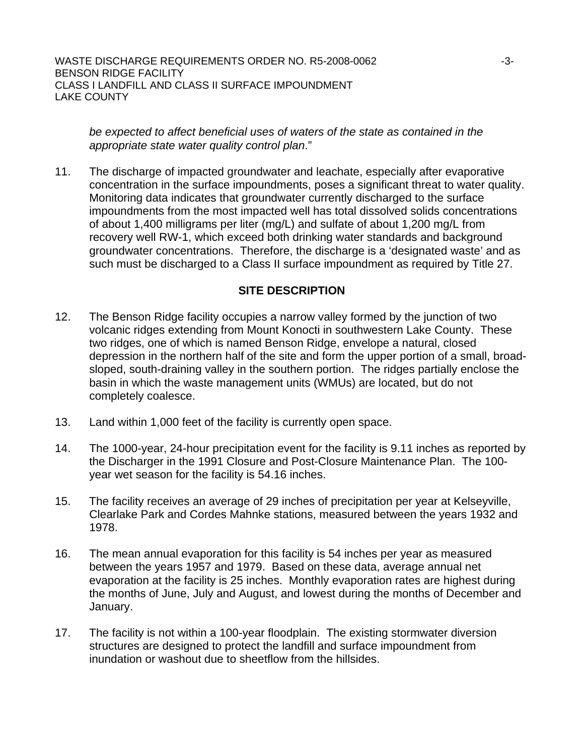*be expected to affect beneficial uses of waters of the state as contained in the appropriate state water quality control plan*."

11. The discharge of impacted groundwater and leachate, especially after evaporative concentration in the surface impoundments, poses a significant threat to water quality. Monitoring data indicates that groundwater currently discharged to the surface impoundments from the most impacted well has total dissolved solids concentrations of about 1,400 milligrams per liter (mg/L) and sulfate of about 1,200 mg/L from recovery well RW-1, which exceed both drinking water standards and background groundwater concentrations. Therefore, the discharge is a 'designated waste' and as such must be discharged to a Class II surface impoundment as required by Title 27.

#### **SITE DESCRIPTION**

- 12. The Benson Ridge facility occupies a narrow valley formed by the junction of two volcanic ridges extending from Mount Konocti in southwestern Lake County. These two ridges, one of which is named Benson Ridge, envelope a natural, closed depression in the northern half of the site and form the upper portion of a small, broadsloped, south-draining valley in the southern portion. The ridges partially enclose the basin in which the waste management units (WMUs) are located, but do not completely coalesce.
- 13. Land within 1,000 feet of the facility is currently open space.
- 14. The 1000-year, 24-hour precipitation event for the facility is 9.11 inches as reported by the Discharger in the 1991 Closure and Post-Closure Maintenance Plan. The 100 year wet season for the facility is 54.16 inches.
- 15. The facility receives an average of 29 inches of precipitation per year at Kelseyville, Clearlake Park and Cordes Mahnke stations, measured between the years 1932 and 1978.
- 16. The mean annual evaporation for this facility is 54 inches per year as measured between the years 1957 and 1979. Based on these data, average annual net evaporation at the facility is 25 inches. Monthly evaporation rates are highest during the months of June, July and August, and lowest during the months of December and January.
- 17. The facility is not within a 100-year floodplain. The existing stormwater diversion structures are designed to protect the landfill and surface impoundment from inundation or washout due to sheetflow from the hillsides.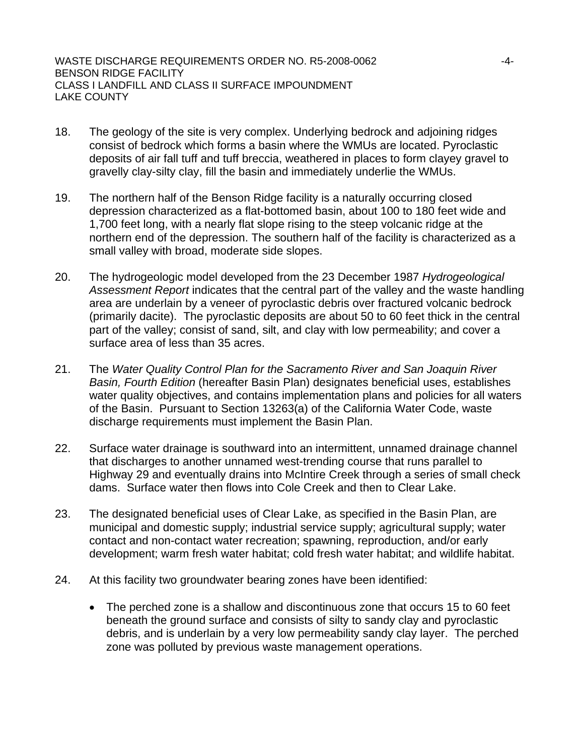- 18. The geology of the site is very complex. Underlying bedrock and adjoining ridges consist of bedrock which forms a basin where the WMUs are located. Pyroclastic deposits of air fall tuff and tuff breccia, weathered in places to form clayey gravel to gravelly clay-silty clay, fill the basin and immediately underlie the WMUs.
- 19. The northern half of the Benson Ridge facility is a naturally occurring closed depression characterized as a flat-bottomed basin, about 100 to 180 feet wide and 1,700 feet long, with a nearly flat slope rising to the steep volcanic ridge at the northern end of the depression. The southern half of the facility is characterized as a small valley with broad, moderate side slopes.
- 20. The hydrogeologic model developed from the 23 December 1987 *Hydrogeological Assessment Report* indicates that the central part of the valley and the waste handling area are underlain by a veneer of pyroclastic debris over fractured volcanic bedrock (primarily dacite). The pyroclastic deposits are about 50 to 60 feet thick in the central part of the valley; consist of sand, silt, and clay with low permeability; and cover a surface area of less than 35 acres.
- 21. The *Water Quality Control Plan for the Sacramento River and San Joaquin River Basin, Fourth Edition* (hereafter Basin Plan) designates beneficial uses, establishes water quality objectives, and contains implementation plans and policies for all waters of the Basin. Pursuant to Section 13263(a) of the California Water Code, waste discharge requirements must implement the Basin Plan.
- 22. Surface water drainage is southward into an intermittent, unnamed drainage channel that discharges to another unnamed west-trending course that runs parallel to Highway 29 and eventually drains into McIntire Creek through a series of small check dams. Surface water then flows into Cole Creek and then to Clear Lake.
- 23. The designated beneficial uses of Clear Lake, as specified in the Basin Plan, are municipal and domestic supply; industrial service supply; agricultural supply; water contact and non-contact water recreation; spawning, reproduction, and/or early development; warm fresh water habitat; cold fresh water habitat; and wildlife habitat.
- 24. At this facility two groundwater bearing zones have been identified:
	- The perched zone is a shallow and discontinuous zone that occurs 15 to 60 feet beneath the ground surface and consists of silty to sandy clay and pyroclastic debris, and is underlain by a very low permeability sandy clay layer. The perched zone was polluted by previous waste management operations.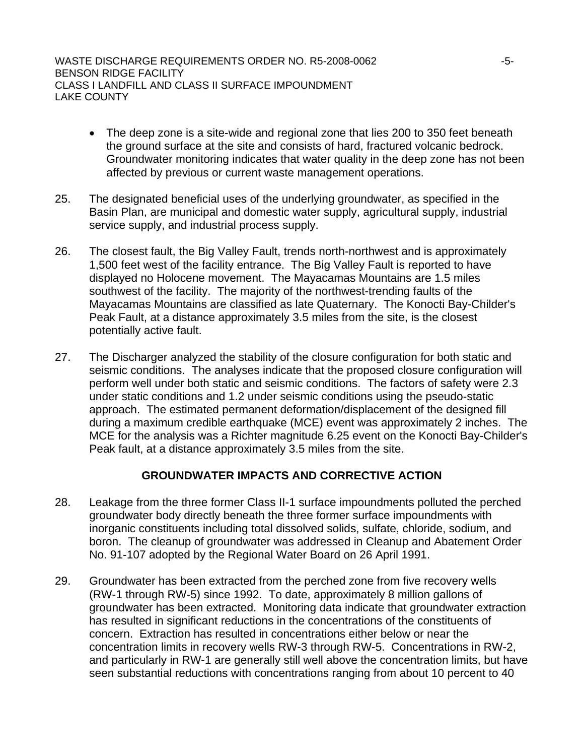- The deep zone is a site-wide and regional zone that lies 200 to 350 feet beneath the ground surface at the site and consists of hard, fractured volcanic bedrock. Groundwater monitoring indicates that water quality in the deep zone has not been affected by previous or current waste management operations.
- 25. The designated beneficial uses of the underlying groundwater, as specified in the Basin Plan, are municipal and domestic water supply, agricultural supply, industrial service supply, and industrial process supply.
- 26. The closest fault, the Big Valley Fault, trends north-northwest and is approximately 1,500 feet west of the facility entrance. The Big Valley Fault is reported to have displayed no Holocene movement. The Mayacamas Mountains are 1.5 miles southwest of the facility. The majority of the northwest-trending faults of the Mayacamas Mountains are classified as late Quaternary. The Konocti Bay-Childer's Peak Fault, at a distance approximately 3.5 miles from the site, is the closest potentially active fault.
- 27. The Discharger analyzed the stability of the closure configuration for both static and seismic conditions. The analyses indicate that the proposed closure configuration will perform well under both static and seismic conditions. The factors of safety were 2.3 under static conditions and 1.2 under seismic conditions using the pseudo-static approach. The estimated permanent deformation/displacement of the designed fill during a maximum credible earthquake (MCE) event was approximately 2 inches. The MCE for the analysis was a Richter magnitude 6.25 event on the Konocti Bay-Childer's Peak fault, at a distance approximately 3.5 miles from the site.

# **GROUNDWATER IMPACTS AND CORRECTIVE ACTION**

- 28. Leakage from the three former Class II-1 surface impoundments polluted the perched groundwater body directly beneath the three former surface impoundments with inorganic constituents including total dissolved solids, sulfate, chloride, sodium, and boron. The cleanup of groundwater was addressed in Cleanup and Abatement Order No. 91-107 adopted by the Regional Water Board on 26 April 1991.
- 29. Groundwater has been extracted from the perched zone from five recovery wells (RW-1 through RW-5) since 1992. To date, approximately 8 million gallons of groundwater has been extracted. Monitoring data indicate that groundwater extraction has resulted in significant reductions in the concentrations of the constituents of concern. Extraction has resulted in concentrations either below or near the concentration limits in recovery wells RW-3 through RW-5. Concentrations in RW-2, and particularly in RW-1 are generally still well above the concentration limits, but have seen substantial reductions with concentrations ranging from about 10 percent to 40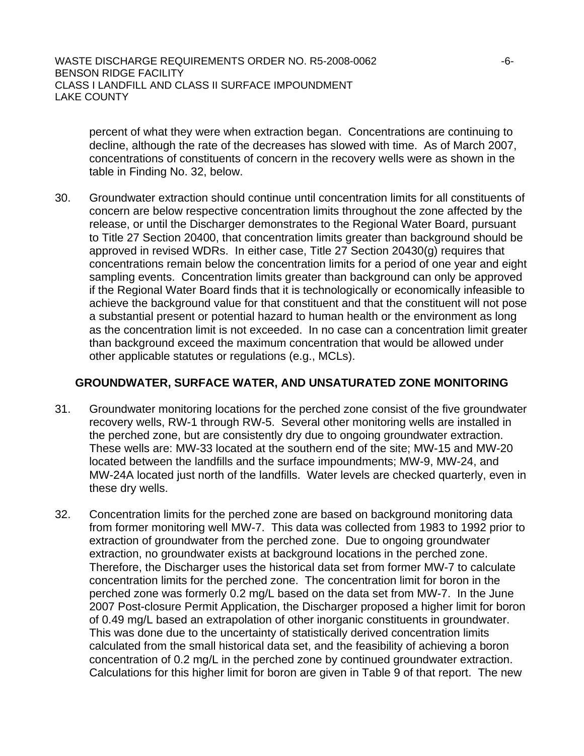percent of what they were when extraction began. Concentrations are continuing to decline, although the rate of the decreases has slowed with time. As of March 2007, concentrations of constituents of concern in the recovery wells were as shown in the table in Finding No. [32,](#page-6-0) below.

30. Groundwater extraction should continue until concentration limits for all constituents of concern are below respective concentration limits throughout the zone affected by the release, or until the Discharger demonstrates to the Regional Water Board, pursuant to Title 27 Section 20400, that concentration limits greater than background should be approved in revised WDRs. In either case, Title 27 Section 20430(g) requires that concentrations remain below the concentration limits for a period of one year and eight sampling events. Concentration limits greater than background can only be approved if the Regional Water Board finds that it is technologically or economically infeasible to achieve the background value for that constituent and that the constituent will not pose a substantial present or potential hazard to human health or the environment as long as the concentration limit is not exceeded. In no case can a concentration limit greater than background exceed the maximum concentration that would be allowed under other applicable statutes or regulations (e.g., MCLs).

### **GROUNDWATER, SURFACE WATER, AND UNSATURATED ZONE MONITORING**

- 31. Groundwater monitoring locations for the perched zone consist of the five groundwater recovery wells, RW-1 through RW-5. Several other monitoring wells are installed in the perched zone, but are consistently dry due to ongoing groundwater extraction. These wells are: MW-33 located at the southern end of the site; MW-15 and MW-20 located between the landfills and the surface impoundments; MW-9, MW-24, and MW-24A located just north of the landfills. Water levels are checked quarterly, even in these dry wells.
- 32. Concentration limits for the perched zone are based on background monitoring data from former monitoring well MW-7. This data was collected from 1983 to 1992 prior to extraction of groundwater from the perched zone. Due to ongoing groundwater extraction, no groundwater exists at background locations in the perched zone. Therefore, the Discharger uses the historical data set from former MW-7 to calculate concentration limits for the perched zone. The concentration limit for boron in the perched zone was formerly 0.2 mg/L based on the data set from MW-7. In the June 2007 Post-closure Permit Application, the Discharger proposed a higher limit for boron of 0.49 mg/L based an extrapolation of other inorganic constituents in groundwater. This was done due to the uncertainty of statistically derived concentration limits calculated from the small historical data set, and the feasibility of achieving a boron concentration of 0.2 mg/L in the perched zone by continued groundwater extraction. Calculations for this higher limit for boron are given in Table 9 of that report. The new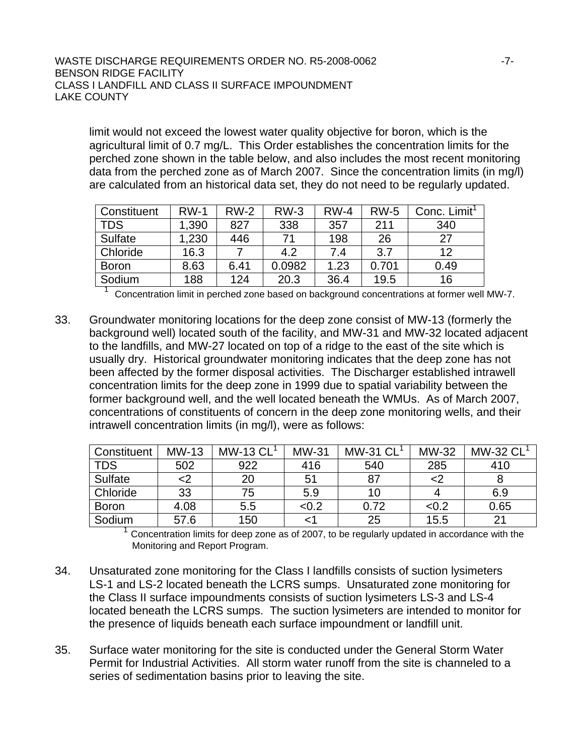#### WASTE DISCHARGE REQUIREMENTS ORDER NO. R5-2008-0062 BENSON RIDGE FACILITY CLASS I LANDFILL AND CLASS II SURFACE IMPOUNDMENT LAKE COUNTY

limit would not exceed the lowest water quality objective for boron, which is the agricultural limit of 0.7 mg/L. This Order establishes the concentration limits for the perched zone shown in the table below, and also includes the most recent monitoring data from the perched zone as of March 2007. Since the concentration limits (in mg/l) are calculated from an historical data set, they do not need to be regularly updated.

| Constituent  | <b>RW-1</b> | $RW-2$ | $RW-3$ | $RW-4$ | <b>RW-5</b> | Conc. Limit <sup>1</sup> |
|--------------|-------------|--------|--------|--------|-------------|--------------------------|
| <b>TDS</b>   | 1,390       | 827    | 338    | 357    | 211         | 340                      |
| Sulfate      | ,230        | 446    | 74     | 198    | 26          | 27                       |
| Chloride     | 16.3        |        | 4.2    | 7.4    | 3.7         | 12                       |
| <b>Boron</b> | 8.63        | 6.41   | 0.0982 | 1.23   | 0.701       | 0.49                     |
| Sodium       | 188         | 124    | 20.3   | 36.4   | 19.5        | 16                       |

 $\overline{\phantom{a}}$ Concentration limit in perched zone based on background concentrations at former well MW-7.

33. Groundwater monitoring locations for the deep zone consist of MW-13 (formerly the background well) located south of the facility, and MW-31 and MW-32 located adjacent to the landfills, and MW-27 located on top of a ridge to the east of the site which is usually dry. Historical groundwater monitoring indicates that the deep zone has not been affected by the former disposal activities. The Discharger established intrawell concentration limits for the deep zone in 1999 due to spatial variability between the former background well, and the well located beneath the WMUs. As of March 2007, concentrations of constituents of concern in the deep zone monitoring wells, and their intrawell concentration limits (in mg/l), were as follows:

| Constituent    | $MW-13$ | <b>MW-13 CL</b> | <b>MW-31</b> | <b>MW-31 CL</b> | MW-32 | <b>MW-32 CL</b> |
|----------------|---------|-----------------|--------------|-----------------|-------|-----------------|
| <b>TDS</b>     | 502     | 922             | 416          | 540             | 285   | 410             |
| <b>Sulfate</b> | د>      | 20              | 51           | 87              | <2    |                 |
| Chloride       | 33      | 75              | 5.9          | 10              |       | 6.9             |
| <b>Boron</b>   | 4.08    | 5.5             | <0.2         | 0.72            | < 0.2 | 0.65            |
| Sodium         | 57.6    | 150             |              | 25              | 15.5  | $2^{\cdot}$     |

Concentration limits for deep zone as of 2007, to be regularly updated in accordance with the Monitoring and Report Program.

- <span id="page-6-0"></span>34. Unsaturated zone monitoring for the Class I landfills consists of suction lysimeters LS-1 and LS-2 located beneath the LCRS sumps. Unsaturated zone monitoring for the Class II surface impoundments consists of suction lysimeters LS-3 and LS-4 located beneath the LCRS sumps. The suction lysimeters are intended to monitor for the presence of liquids beneath each surface impoundment or landfill unit.
- 35. Surface water monitoring for the site is conducted under the General Storm Water Permit for Industrial Activities. All storm water runoff from the site is channeled to a series of sedimentation basins prior to leaving the site.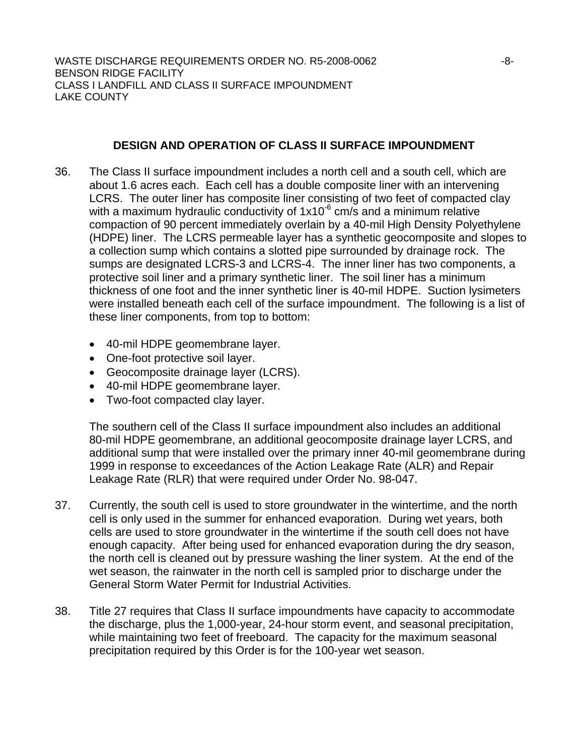# **DESIGN AND OPERATION OF CLASS II SURFACE IMPOUNDMENT**

- 36. The Class II surface impoundment includes a north cell and a south cell, which are about 1.6 acres each. Each cell has a double composite liner with an intervening LCRS. The outer liner has composite liner consisting of two feet of compacted clay with a maximum hydraulic conductivity of  $1x10^{-6}$  cm/s and a minimum relative compaction of 90 percent immediately overlain by a 40-mil High Density Polyethylene (HDPE) liner. The LCRS permeable layer has a synthetic geocomposite and slopes to a collection sump which contains a slotted pipe surrounded by drainage rock. The sumps are designated LCRS-3 and LCRS-4. The inner liner has two components, a protective soil liner and a primary synthetic liner. The soil liner has a minimum thickness of one foot and the inner synthetic liner is 40-mil HDPE. Suction lysimeters were installed beneath each cell of the surface impoundment. The following is a list of these liner components, from top to bottom:
	- 40-mil HDPE geomembrane layer.
	- One-foot protective soil layer.
	- Geocomposite drainage layer (LCRS).
	- 40-mil HDPE geomembrane layer.
	- Two-foot compacted clay layer.

The southern cell of the Class II surface impoundment also includes an additional 80-mil HDPE geomembrane, an additional geocomposite drainage layer LCRS, and additional sump that were installed over the primary inner 40-mil geomembrane during 1999 in response to exceedances of the Action Leakage Rate (ALR) and Repair Leakage Rate (RLR) that were required under Order No. 98-047.

- 37. Currently, the south cell is used to store groundwater in the wintertime, and the north cell is only used in the summer for enhanced evaporation. During wet years, both cells are used to store groundwater in the wintertime if the south cell does not have enough capacity. After being used for enhanced evaporation during the dry season, the north cell is cleaned out by pressure washing the liner system. At the end of the wet season, the rainwater in the north cell is sampled prior to discharge under the General Storm Water Permit for Industrial Activities.
- 38. Title 27 requires that Class II surface impoundments have capacity to accommodate the discharge, plus the 1,000-year, 24-hour storm event, and seasonal precipitation, while maintaining two feet of freeboard. The capacity for the maximum seasonal precipitation required by this Order is for the 100-year wet season.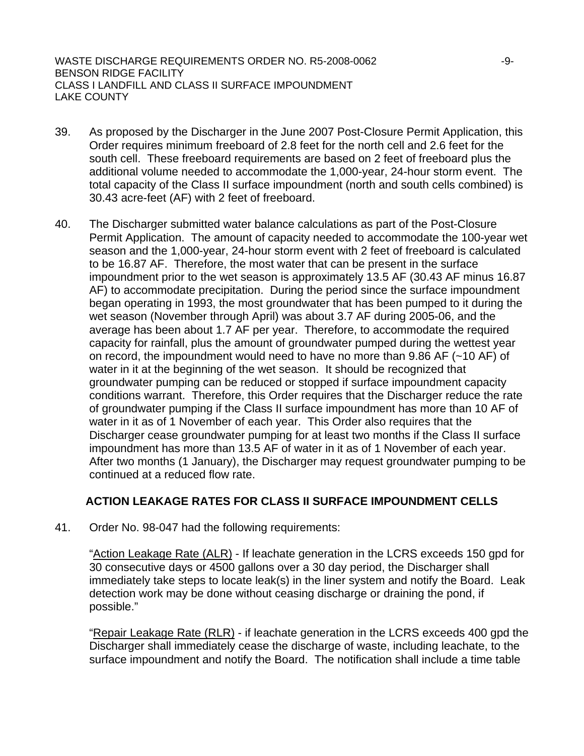WASTE DISCHARGE REQUIREMENTS ORDER NO. R5-2008-0062  $-9$ -9-BENSON RIDGE FACILITY CLASS I LANDFILL AND CLASS II SURFACE IMPOUNDMENT LAKE COUNTY

- <span id="page-8-0"></span>39. As proposed by the Discharger in the June 2007 Post-Closure Permit Application, this Order requires minimum freeboard of 2.8 feet for the north cell and 2.6 feet for the south cell. These freeboard requirements are based on 2 feet of freeboard plus the additional volume needed to accommodate the 1,000-year, 24-hour storm event. The total capacity of the Class II surface impoundment (north and south cells combined) is 30.43 acre-feet (AF) with 2 feet of freeboard.
- 40. The Discharger submitted water balance calculations as part of the Post-Closure Permit Application. The amount of capacity needed to accommodate the 100-year wet season and the 1,000-year, 24-hour storm event with 2 feet of freeboard is calculated to be 16.87 AF. Therefore, the most water that can be present in the surface impoundment prior to the wet season is approximately 13.5 AF (30.43 AF minus 16.87 AF) to accommodate precipitation. During the period since the surface impoundment began operating in 1993, the most groundwater that has been pumped to it during the wet season (November through April) was about 3.7 AF during 2005-06, and the average has been about 1.7 AF per year. Therefore, to accommodate the required capacity for rainfall, plus the amount of groundwater pumped during the wettest year on record, the impoundment would need to have no more than 9.86 AF (~10 AF) of water in it at the beginning of the wet season. It should be recognized that groundwater pumping can be reduced or stopped if surface impoundment capacity conditions warrant. Therefore, this Order requires that the Discharger reduce the rate of groundwater pumping if the Class II surface impoundment has more than 10 AF of water in it as of 1 November of each year. This Order also requires that the Discharger cease groundwater pumping for at least two months if the Class II surface impoundment has more than 13.5 AF of water in it as of 1 November of each year. After two months (1 January), the Discharger may request groundwater pumping to be continued at a reduced flow rate.

# **ACTION LEAKAGE RATES FOR CLASS II SURFACE IMPOUNDMENT CELLS**

41. Order No. 98-047 had the following requirements:

"Action Leakage Rate (ALR) - If leachate generation in the LCRS exceeds 150 gpd for 30 consecutive days or 4500 gallons over a 30 day period, the Discharger shall immediately take steps to locate leak(s) in the liner system and notify the Board. Leak detection work may be done without ceasing discharge or draining the pond, if possible."

"Repair Leakage Rate (RLR) - if leachate generation in the LCRS exceeds 400 gpd the Discharger shall immediately cease the discharge of waste, including leachate, to the surface impoundment and notify the Board. The notification shall include a time table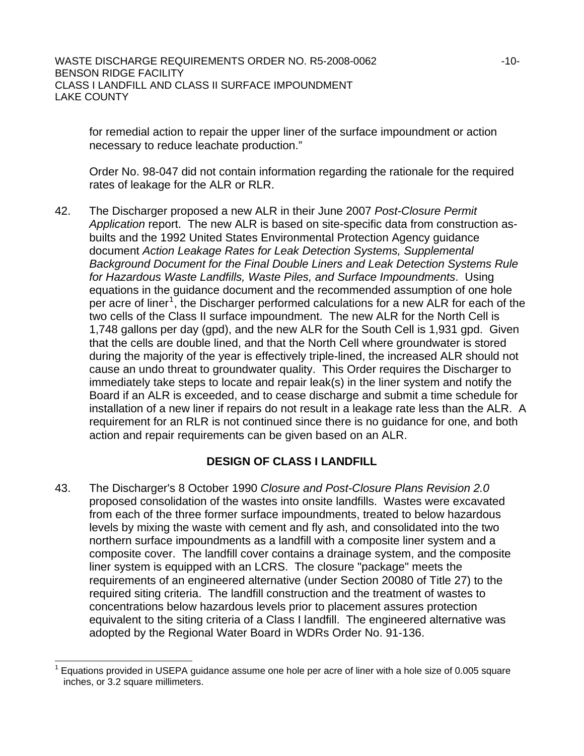#### WASTE DISCHARGE REQUIREMENTS ORDER NO. R5-2008-0062  $-10$ -10-BENSON RIDGE FACILITY CLASS I LANDFILL AND CLASS II SURFACE IMPOUNDMENT LAKE COUNTY

for remedial action to repair the upper liner of the surface impoundment or action necessary to reduce leachate production."

Order No. 98-047 did not contain information regarding the rationale for the required rates of leakage for the ALR or RLR.

42. The Discharger proposed a new ALR in their June 2007 *Post-Closure Permit Application* report. The new ALR is based on site-specific data from construction asbuilts and the 1992 United States Environmental Protection Agency guidance document *Action Leakage Rates for Leak Detection Systems, Supplemental Background Document for the Final Double Liners and Leak Detection Systems Rule for Hazardous Waste Landfills, Waste Piles, and Surface Impoundments*. Using equations in the guidance document and the recommended assumption of one hole per acre of liner<sup>[1](#page-9-0)</sup>, the Discharger performed calculations for a new ALR for each of the two cells of the Class II surface impoundment. The new ALR for the North Cell is 1,748 gallons per day (gpd), and the new ALR for the South Cell is 1,931 gpd. Given that the cells are double lined, and that the North Cell where groundwater is stored during the majority of the year is effectively triple-lined, the increased ALR should not cause an undo threat to groundwater quality. This Order requires the Discharger to immediately take steps to locate and repair leak(s) in the liner system and notify the Board if an ALR is exceeded, and to cease discharge and submit a time schedule for installation of a new liner if repairs do not result in a leakage rate less than the ALR. A requirement for an RLR is not continued since there is no guidance for one, and both action and repair requirements can be given based on an ALR.

# **DESIGN OF CLASS I LANDFILL**

43. The Discharger's 8 October 1990 *Closure and Post-Closure Plans Revision 2.0*  proposed consolidation of the wastes into onsite landfills. Wastes were excavated from each of the three former surface impoundments, treated to below hazardous levels by mixing the waste with cement and fly ash, and consolidated into the two northern surface impoundments as a landfill with a composite liner system and a composite cover. The landfill cover contains a drainage system, and the composite liner system is equipped with an LCRS. The closure "package" meets the requirements of an engineered alternative (under Section 20080 of Title 27) to the required siting criteria. The landfill construction and the treatment of wastes to concentrations below hazardous levels prior to placement assures protection equivalent to the siting criteria of a Class I landfill. The engineered alternative was adopted by the Regional Water Board in WDRs Order No. 91-136.

l

<span id="page-9-0"></span><sup>1</sup> Equations provided in USEPA guidance assume one hole per acre of liner with a hole size of 0.005 square inches, or 3.2 square millimeters.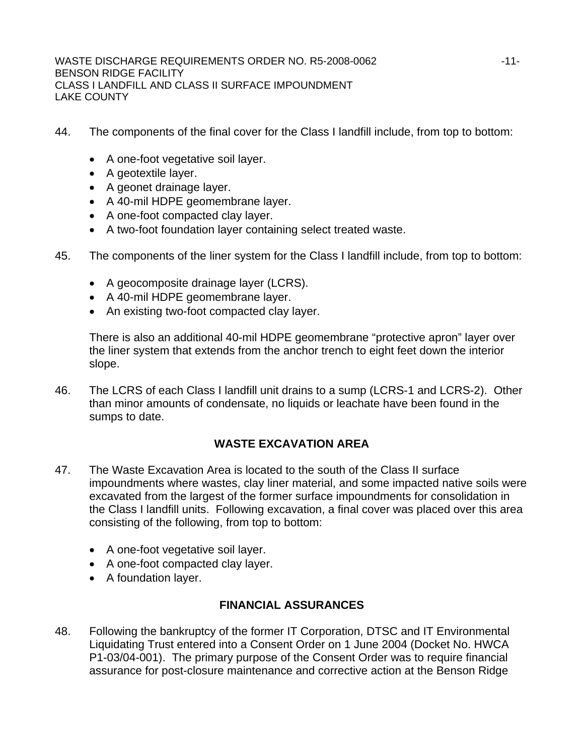- 44. The components of the final cover for the Class I landfill include, from top to bottom:
	- A one-foot vegetative soil layer.
	- A geotextile layer.
	- A geonet drainage layer.
	- A 40-mil HDPE geomembrane layer.
	- A one-foot compacted clay layer.
	- A two-foot foundation layer containing select treated waste.
- 45. The components of the liner system for the Class I landfill include, from top to bottom:
	- A geocomposite drainage layer (LCRS).
	- A 40-mil HDPE geomembrane layer.
	- An existing two-foot compacted clay layer.

There is also an additional 40-mil HDPE geomembrane "protective apron" layer over the liner system that extends from the anchor trench to eight feet down the interior slope.

46. The LCRS of each Class I landfill unit drains to a sump (LCRS-1 and LCRS-2). Other than minor amounts of condensate, no liquids or leachate have been found in the sumps to date.

# **WASTE EXCAVATION AREA**

- 47. The Waste Excavation Area is located to the south of the Class II surface impoundments where wastes, clay liner material, and some impacted native soils were excavated from the largest of the former surface impoundments for consolidation in the Class I landfill units. Following excavation, a final cover was placed over this area consisting of the following, from top to bottom:
	- A one-foot vegetative soil layer.
	- A one-foot compacted clay layer.
	- A foundation layer.

# **FINANCIAL ASSURANCES**

48. Following the bankruptcy of the former IT Corporation, DTSC and IT Environmental Liquidating Trust entered into a Consent Order on 1 June 2004 (Docket No. HWCA P1-03/04-001). The primary purpose of the Consent Order was to require financial assurance for post-closure maintenance and corrective action at the Benson Ridge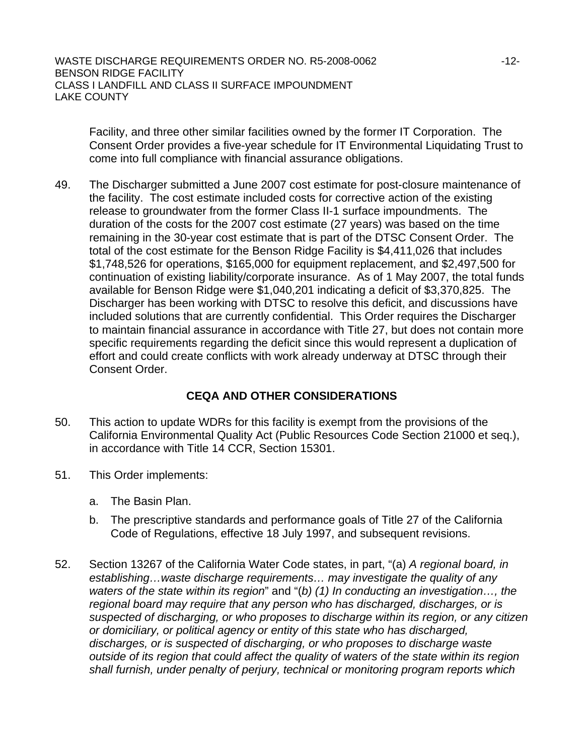Facility, and three other similar facilities owned by the former IT Corporation. The Consent Order provides a five-year schedule for IT Environmental Liquidating Trust to come into full compliance with financial assurance obligations.

49. The Discharger submitted a June 2007 cost estimate for post-closure maintenance of the facility. The cost estimate included costs for corrective action of the existing release to groundwater from the former Class II-1 surface impoundments. The duration of the costs for the 2007 cost estimate (27 years) was based on the time remaining in the 30-year cost estimate that is part of the DTSC Consent Order. The total of the cost estimate for the Benson Ridge Facility is \$4,411,026 that includes \$1,748,526 for operations, \$165,000 for equipment replacement, and \$2,497,500 for continuation of existing liability/corporate insurance. As of 1 May 2007, the total funds available for Benson Ridge were \$1,040,201 indicating a deficit of \$3,370,825. The Discharger has been working with DTSC to resolve this deficit, and discussions have included solutions that are currently confidential. This Order requires the Discharger to maintain financial assurance in accordance with Title 27, but does not contain more specific requirements regarding the deficit since this would represent a duplication of effort and could create conflicts with work already underway at DTSC through their Consent Order.

# **CEQA AND OTHER CONSIDERATIONS**

- 50. This action to update WDRs for this facility is exempt from the provisions of the California Environmental Quality Act (Public Resources Code Section 21000 et seq.), in accordance with Title 14 CCR, Section 15301.
- 51. This Order implements:
	- a. The Basin Plan.
	- b. The prescriptive standards and performance goals of Title 27 of the California Code of Regulations, effective 18 July 1997, and subsequent revisions.
- 52. Section 13267 of the California Water Code states, in part, "(a) *A regional board, in establishing…waste discharge requirements… may investigate the quality of any waters of the state within its region*" and "(*b) (1) In conducting an investigation…, the regional board may require that any person who has discharged, discharges, or is suspected of discharging, or who proposes to discharge within its region, or any citizen or domiciliary, or political agency or entity of this state who has discharged, discharges, or is suspected of discharging, or who proposes to discharge waste outside of its region that could affect the quality of waters of the state within its region shall furnish, under penalty of perjury, technical or monitoring program reports which*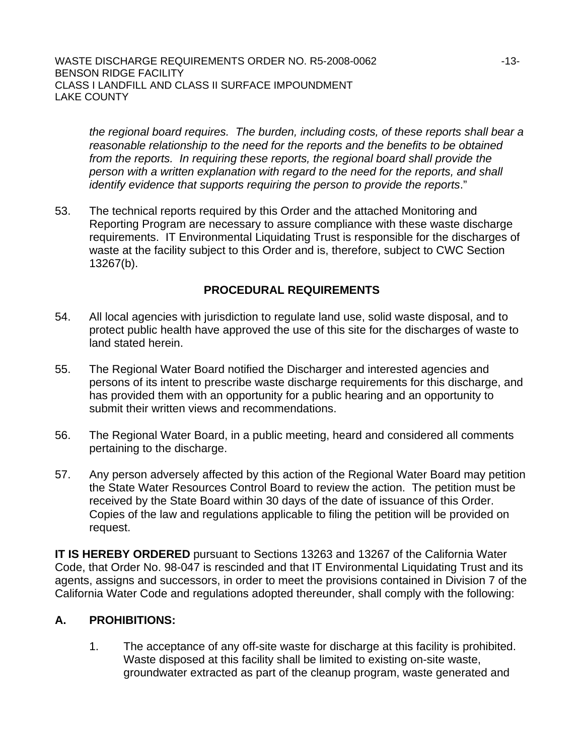*the regional board requires. The burden, including costs, of these reports shall bear a reasonable relationship to the need for the reports and the benefits to be obtained from the reports. In requiring these reports, the regional board shall provide the person with a written explanation with regard to the need for the reports, and shall identify evidence that supports requiring the person to provide the reports*."

53. The technical reports required by this Order and the attached Monitoring and Reporting Program are necessary to assure compliance with these waste discharge requirements. IT Environmental Liquidating Trust is responsible for the discharges of waste at the facility subject to this Order and is, therefore, subject to CWC Section 13267(b).

# **PROCEDURAL REQUIREMENTS**

- 54. All local agencies with jurisdiction to regulate land use, solid waste disposal, and to protect public health have approved the use of this site for the discharges of waste to land stated herein.
- 55. The Regional Water Board notified the Discharger and interested agencies and persons of its intent to prescribe waste discharge requirements for this discharge, and has provided them with an opportunity for a public hearing and an opportunity to submit their written views and recommendations.
- 56. The Regional Water Board, in a public meeting, heard and considered all comments pertaining to the discharge.
- 57. Any person adversely affected by this action of the Regional Water Board may petition the State Water Resources Control Board to review the action. The petition must be received by the State Board within 30 days of the date of issuance of this Order. Copies of the law and regulations applicable to filing the petition will be provided on request.

**IT IS HEREBY ORDERED** pursuant to Sections 13263 and 13267 of the California Water Code, that Order No. 98-047 is rescinded and that IT Environmental Liquidating Trust and its agents, assigns and successors, in order to meet the provisions contained in Division 7 of the California Water Code and regulations adopted thereunder, shall comply with the following:

# **A. PROHIBITIONS:**

1. The acceptance of any off-site waste for discharge at this facility is prohibited. Waste disposed at this facility shall be limited to existing on-site waste, groundwater extracted as part of the cleanup program, waste generated and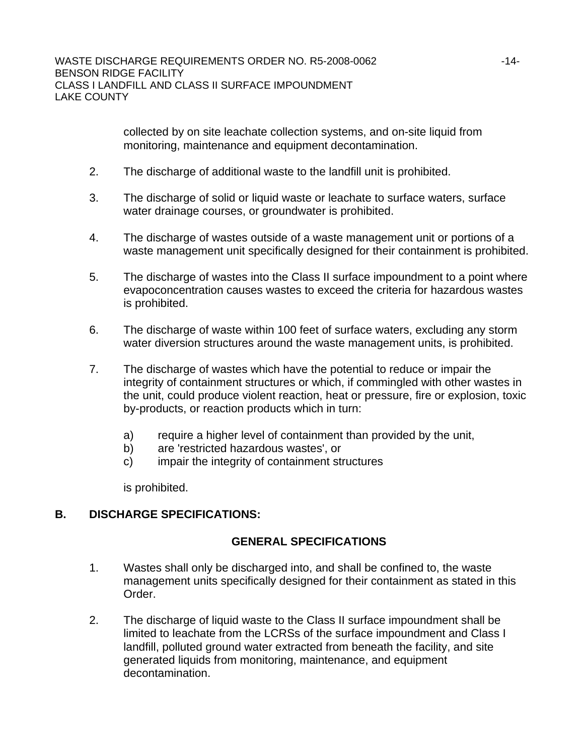collected by on site leachate collection systems, and on-site liquid from monitoring, maintenance and equipment decontamination.

- 2. The discharge of additional waste to the landfill unit is prohibited.
- 3. The discharge of solid or liquid waste or leachate to surface waters, surface water drainage courses, or groundwater is prohibited.
- 4. The discharge of wastes outside of a waste management unit or portions of a waste management unit specifically designed for their containment is prohibited.
- 5. The discharge of wastes into the Class II surface impoundment to a point where evapoconcentration causes wastes to exceed the criteria for hazardous wastes is prohibited.
- 6. The discharge of waste within 100 feet of surface waters, excluding any storm water diversion structures around the waste management units, is prohibited.
- 7. The discharge of wastes which have the potential to reduce or impair the integrity of containment structures or which, if commingled with other wastes in the unit, could produce violent reaction, heat or pressure, fire or explosion, toxic by-products, or reaction products which in turn:
	- a) require a higher level of containment than provided by the unit,
	- b) are 'restricted hazardous wastes', or
	- c) impair the integrity of containment structures

is prohibited.

# **B. DISCHARGE SPECIFICATIONS:**

# **GENERAL SPECIFICATIONS**

- 1. Wastes shall only be discharged into, and shall be confined to, the waste management units specifically designed for their containment as stated in this Order.
- 2. The discharge of liquid waste to the Class II surface impoundment shall be limited to leachate from the LCRSs of the surface impoundment and Class I landfill, polluted ground water extracted from beneath the facility, and site generated liquids from monitoring, maintenance, and equipment decontamination.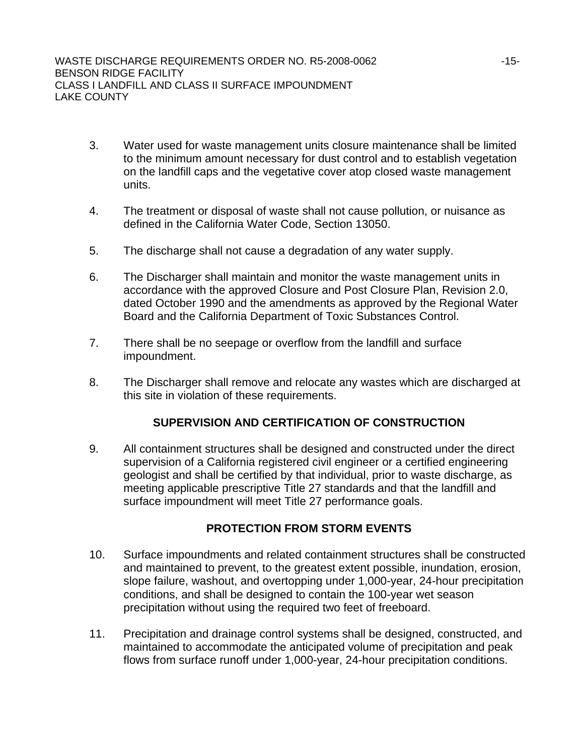- 3. Water used for waste management units closure maintenance shall be limited to the minimum amount necessary for dust control and to establish vegetation on the landfill caps and the vegetative cover atop closed waste management units.
- 4. The treatment or disposal of waste shall not cause pollution, or nuisance as defined in the California Water Code, Section 13050.
- 5. The discharge shall not cause a degradation of any water supply.
- 6. The Discharger shall maintain and monitor the waste management units in accordance with the approved Closure and Post Closure Plan, Revision 2.0, dated October 1990 and the amendments as approved by the Regional Water Board and the California Department of Toxic Substances Control.
- 7. There shall be no seepage or overflow from the landfill and surface impoundment.
- 8. The Discharger shall remove and relocate any wastes which are discharged at this site in violation of these requirements.

# **SUPERVISION AND CERTIFICATION OF CONSTRUCTION**

9. All containment structures shall be designed and constructed under the direct supervision of a California registered civil engineer or a certified engineering geologist and shall be certified by that individual, prior to waste discharge, as meeting applicable prescriptive Title 27 standards and that the landfill and surface impoundment will meet Title 27 performance goals.

# **PROTECTION FROM STORM EVENTS**

- 10. Surface impoundments and related containment structures shall be constructed and maintained to prevent, to the greatest extent possible, inundation, erosion, slope failure, washout, and overtopping under 1,000-year, 24-hour precipitation conditions, and shall be designed to contain the 100-year wet season precipitation without using the required two feet of freeboard.
- 11. Precipitation and drainage control systems shall be designed, constructed, and maintained to accommodate the anticipated volume of precipitation and peak flows from surface runoff under 1,000-year, 24-hour precipitation conditions.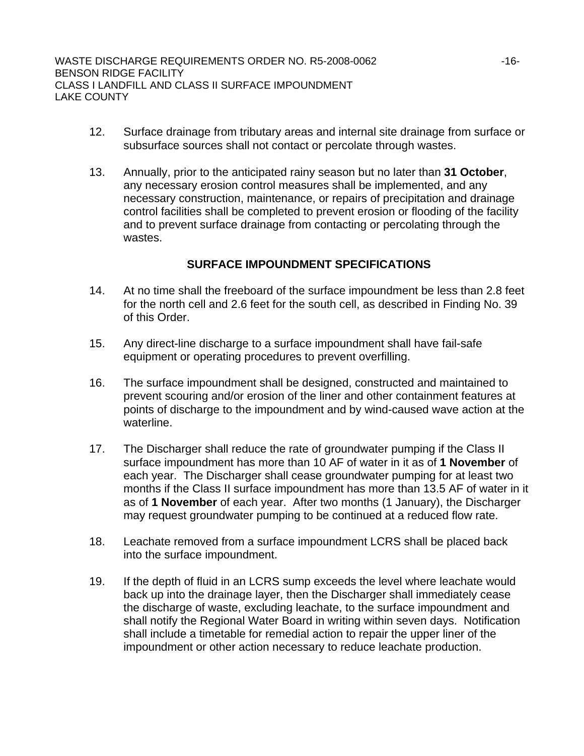- 12. Surface drainage from tributary areas and internal site drainage from surface or subsurface sources shall not contact or percolate through wastes.
- 13. Annually, prior to the anticipated rainy season but no later than **31 October**, any necessary erosion control measures shall be implemented, and any necessary construction, maintenance, or repairs of precipitation and drainage control facilities shall be completed to prevent erosion or flooding of the facility and to prevent surface drainage from contacting or percolating through the wastes.

# **SURFACE IMPOUNDMENT SPECIFICATIONS**

- 14. At no time shall the freeboard of the surface impoundment be less than 2.8 feet for the north cell and 2.6 feet for the south cell, as described in Finding No. [39](#page-8-0) of this Order.
- 15. Any direct-line discharge to a surface impoundment shall have fail-safe equipment or operating procedures to prevent overfilling.
- 16. The surface impoundment shall be designed, constructed and maintained to prevent scouring and/or erosion of the liner and other containment features at points of discharge to the impoundment and by wind-caused wave action at the waterline.
- 17. The Discharger shall reduce the rate of groundwater pumping if the Class II surface impoundment has more than 10 AF of water in it as of **1 November** of each year. The Discharger shall cease groundwater pumping for at least two months if the Class II surface impoundment has more than 13.5 AF of water in it as of **1 November** of each year. After two months (1 January), the Discharger may request groundwater pumping to be continued at a reduced flow rate.
- 18. Leachate removed from a surface impoundment LCRS shall be placed back into the surface impoundment.
- 19. If the depth of fluid in an LCRS sump exceeds the level where leachate would back up into the drainage layer, then the Discharger shall immediately cease the discharge of waste, excluding leachate, to the surface impoundment and shall notify the Regional Water Board in writing within seven days. Notification shall include a timetable for remedial action to repair the upper liner of the impoundment or other action necessary to reduce leachate production.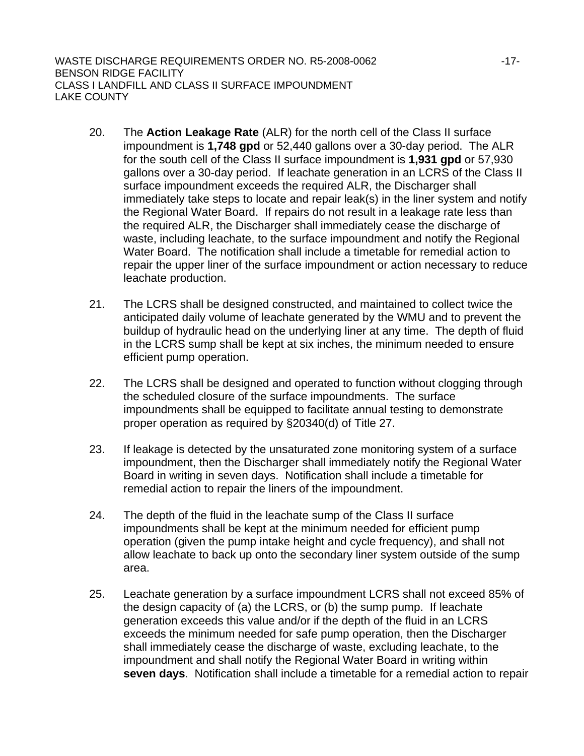- 20. The **Action Leakage Rate** (ALR) for the north cell of the Class II surface impoundment is **1,748 gpd** or 52,440 gallons over a 30-day period. The ALR for the south cell of the Class II surface impoundment is **1,931 gpd** or 57,930 gallons over a 30-day period. If leachate generation in an LCRS of the Class II surface impoundment exceeds the required ALR, the Discharger shall immediately take steps to locate and repair leak(s) in the liner system and notify the Regional Water Board. If repairs do not result in a leakage rate less than the required ALR, the Discharger shall immediately cease the discharge of waste, including leachate, to the surface impoundment and notify the Regional Water Board. The notification shall include a timetable for remedial action to repair the upper liner of the surface impoundment or action necessary to reduce leachate production.
- 21. The LCRS shall be designed constructed, and maintained to collect twice the anticipated daily volume of leachate generated by the WMU and to prevent the buildup of hydraulic head on the underlying liner at any time. The depth of fluid in the LCRS sump shall be kept at six inches, the minimum needed to ensure efficient pump operation.
- 22. The LCRS shall be designed and operated to function without clogging through the scheduled closure of the surface impoundments. The surface impoundments shall be equipped to facilitate annual testing to demonstrate proper operation as required by §20340(d) of Title 27.
- 23. If leakage is detected by the unsaturated zone monitoring system of a surface impoundment, then the Discharger shall immediately notify the Regional Water Board in writing in seven days. Notification shall include a timetable for remedial action to repair the liners of the impoundment.
- 24. The depth of the fluid in the leachate sump of the Class II surface impoundments shall be kept at the minimum needed for efficient pump operation (given the pump intake height and cycle frequency), and shall not allow leachate to back up onto the secondary liner system outside of the sump area.
- 25. Leachate generation by a surface impoundment LCRS shall not exceed 85% of the design capacity of (a) the LCRS, or (b) the sump pump. If leachate generation exceeds this value and/or if the depth of the fluid in an LCRS exceeds the minimum needed for safe pump operation, then the Discharger shall immediately cease the discharge of waste, excluding leachate, to the impoundment and shall notify the Regional Water Board in writing within **seven days**. Notification shall include a timetable for a remedial action to repair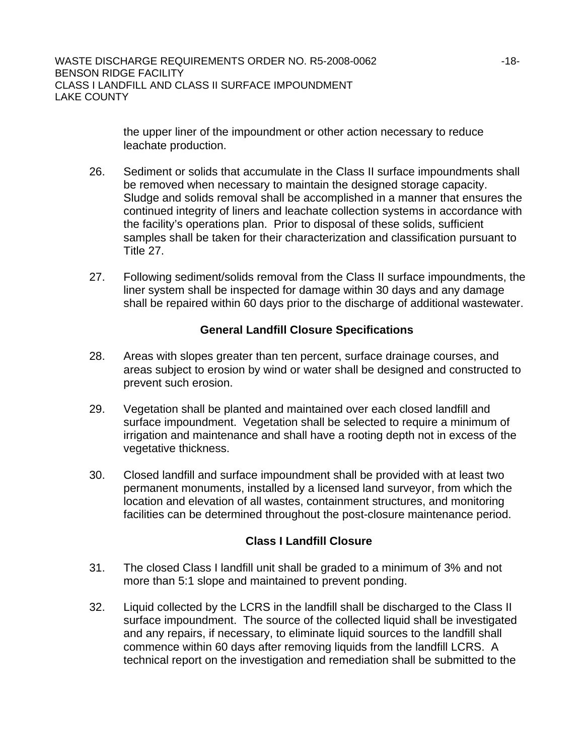the upper liner of the impoundment or other action necessary to reduce leachate production.

- 26. Sediment or solids that accumulate in the Class II surface impoundments shall be removed when necessary to maintain the designed storage capacity. Sludge and solids removal shall be accomplished in a manner that ensures the continued integrity of liners and leachate collection systems in accordance with the facility's operations plan. Prior to disposal of these solids, sufficient samples shall be taken for their characterization and classification pursuant to Title 27.
- 27. Following sediment/solids removal from the Class II surface impoundments, the liner system shall be inspected for damage within 30 days and any damage shall be repaired within 60 days prior to the discharge of additional wastewater.

# **General Landfill Closure Specifications**

- 28. Areas with slopes greater than ten percent, surface drainage courses, and areas subject to erosion by wind or water shall be designed and constructed to prevent such erosion.
- 29. Vegetation shall be planted and maintained over each closed landfill and surface impoundment. Vegetation shall be selected to require a minimum of irrigation and maintenance and shall have a rooting depth not in excess of the vegetative thickness.
- 30. Closed landfill and surface impoundment shall be provided with at least two permanent monuments, installed by a licensed land surveyor, from which the location and elevation of all wastes, containment structures, and monitoring facilities can be determined throughout the post-closure maintenance period.

# **Class I Landfill Closure**

- 31. The closed Class I landfill unit shall be graded to a minimum of 3% and not more than 5:1 slope and maintained to prevent ponding.
- 32. Liquid collected by the LCRS in the landfill shall be discharged to the Class II surface impoundment. The source of the collected liquid shall be investigated and any repairs, if necessary, to eliminate liquid sources to the landfill shall commence within 60 days after removing liquids from the landfill LCRS. A technical report on the investigation and remediation shall be submitted to the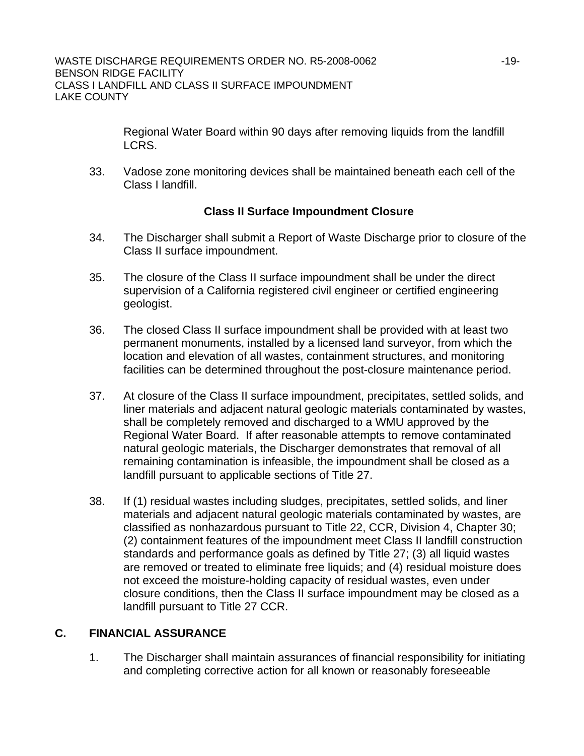Regional Water Board within 90 days after removing liquids from the landfill LCRS.

33. Vadose zone monitoring devices shall be maintained beneath each cell of the Class I landfill.

# **Class II Surface Impoundment Closure**

- 34. The Discharger shall submit a Report of Waste Discharge prior to closure of the Class II surface impoundment.
- 35. The closure of the Class II surface impoundment shall be under the direct supervision of a California registered civil engineer or certified engineering geologist.
- 36. The closed Class II surface impoundment shall be provided with at least two permanent monuments, installed by a licensed land surveyor, from which the location and elevation of all wastes, containment structures, and monitoring facilities can be determined throughout the post-closure maintenance period.
- 37. At closure of the Class II surface impoundment, precipitates, settled solids, and liner materials and adjacent natural geologic materials contaminated by wastes, shall be completely removed and discharged to a WMU approved by the Regional Water Board. If after reasonable attempts to remove contaminated natural geologic materials, the Discharger demonstrates that removal of all remaining contamination is infeasible, the impoundment shall be closed as a landfill pursuant to applicable sections of Title 27.
- 38. If (1) residual wastes including sludges, precipitates, settled solids, and liner materials and adjacent natural geologic materials contaminated by wastes, are classified as nonhazardous pursuant to Title 22, CCR, Division 4, Chapter 30; (2) containment features of the impoundment meet Class II landfill construction standards and performance goals as defined by Title 27; (3) all liquid wastes are removed or treated to eliminate free liquids; and (4) residual moisture does not exceed the moisture-holding capacity of residual wastes, even under closure conditions, then the Class II surface impoundment may be closed as a landfill pursuant to Title 27 CCR.

# **C. FINANCIAL ASSURANCE**

1. The Discharger shall maintain assurances of financial responsibility for initiating and completing corrective action for all known or reasonably foreseeable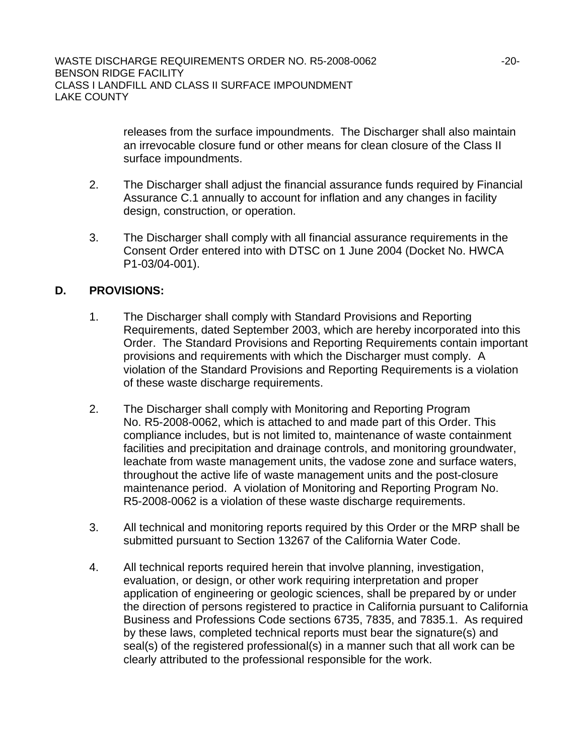releases from the surface impoundments. The Discharger shall also maintain an irrevocable closure fund or other means for clean closure of the Class II surface impoundments.

- 2. The Discharger shall adjust the financial assurance funds required by Financial Assurance C.1 annually to account for inflation and any changes in facility design, construction, or operation.
- 3. The Discharger shall comply with all financial assurance requirements in the Consent Order entered into with DTSC on 1 June 2004 (Docket No. HWCA P1-03/04-001).

# **D. PROVISIONS:**

- 1. The Discharger shall comply with Standard Provisions and Reporting Requirements, dated September 2003, which are hereby incorporated into this Order. The Standard Provisions and Reporting Requirements contain important provisions and requirements with which the Discharger must comply. A violation of the Standard Provisions and Reporting Requirements is a violation of these waste discharge requirements.
- 2. The Discharger shall comply with Monitoring and Reporting Program No. R5-2008-0062, which is attached to and made part of this Order. This compliance includes, but is not limited to, maintenance of waste containment facilities and precipitation and drainage controls, and monitoring groundwater, leachate from waste management units, the vadose zone and surface waters, throughout the active life of waste management units and the post-closure maintenance period. A violation of Monitoring and Reporting Program No. R5-2008-0062 is a violation of these waste discharge requirements.
- 3. All technical and monitoring reports required by this Order or the MRP shall be submitted pursuant to Section 13267 of the California Water Code.
- 4. All technical reports required herein that involve planning, investigation, evaluation, or design, or other work requiring interpretation and proper application of engineering or geologic sciences, shall be prepared by or under the direction of persons registered to practice in California pursuant to California Business and Professions Code sections 6735, 7835, and 7835.1. As required by these laws, completed technical reports must bear the signature(s) and seal(s) of the registered professional(s) in a manner such that all work can be clearly attributed to the professional responsible for the work.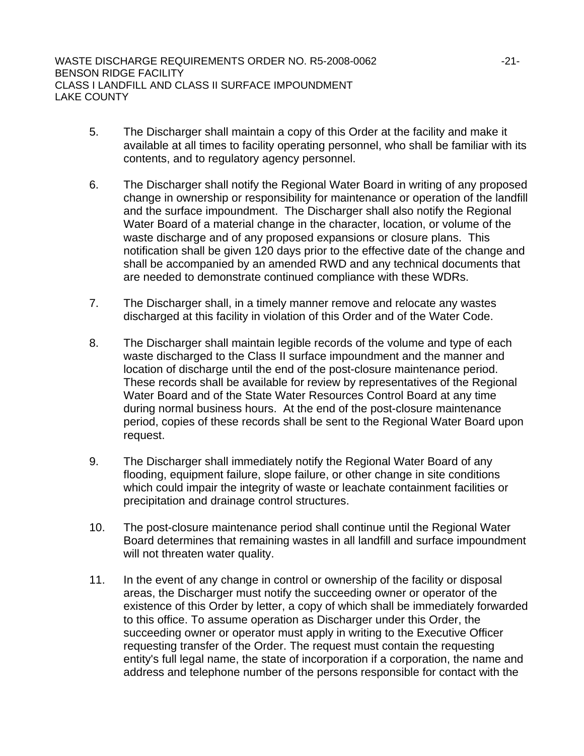- 5. The Discharger shall maintain a copy of this Order at the facility and make it available at all times to facility operating personnel, who shall be familiar with its contents, and to regulatory agency personnel.
- 6. The Discharger shall notify the Regional Water Board in writing of any proposed change in ownership or responsibility for maintenance or operation of the landfill and the surface impoundment. The Discharger shall also notify the Regional Water Board of a material change in the character, location, or volume of the waste discharge and of any proposed expansions or closure plans. This notification shall be given 120 days prior to the effective date of the change and shall be accompanied by an amended RWD and any technical documents that are needed to demonstrate continued compliance with these WDRs.
- 7. The Discharger shall, in a timely manner remove and relocate any wastes discharged at this facility in violation of this Order and of the Water Code.
- 8. The Discharger shall maintain legible records of the volume and type of each waste discharged to the Class II surface impoundment and the manner and location of discharge until the end of the post-closure maintenance period. These records shall be available for review by representatives of the Regional Water Board and of the State Water Resources Control Board at any time during normal business hours. At the end of the post-closure maintenance period, copies of these records shall be sent to the Regional Water Board upon request.
- 9. The Discharger shall immediately notify the Regional Water Board of any flooding, equipment failure, slope failure, or other change in site conditions which could impair the integrity of waste or leachate containment facilities or precipitation and drainage control structures.
- 10. The post-closure maintenance period shall continue until the Regional Water Board determines that remaining wastes in all landfill and surface impoundment will not threaten water quality.
- 11. In the event of any change in control or ownership of the facility or disposal areas, the Discharger must notify the succeeding owner or operator of the existence of this Order by letter, a copy of which shall be immediately forwarded to this office. To assume operation as Discharger under this Order, the succeeding owner or operator must apply in writing to the Executive Officer requesting transfer of the Order. The request must contain the requesting entity's full legal name, the state of incorporation if a corporation, the name and address and telephone number of the persons responsible for contact with the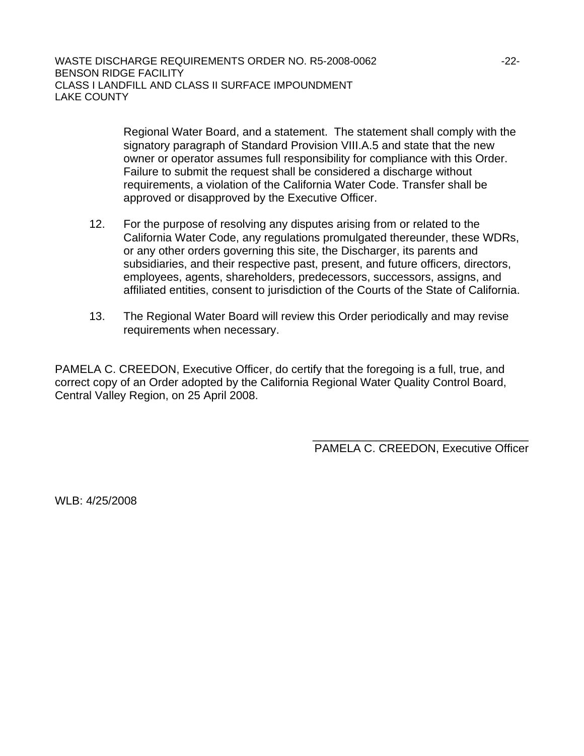Regional Water Board, and a statement. The statement shall comply with the signatory paragraph of Standard Provision VIII.A.5 and state that the new owner or operator assumes full responsibility for compliance with this Order. Failure to submit the request shall be considered a discharge without requirements, a violation of the California Water Code. Transfer shall be approved or disapproved by the Executive Officer.

- 12. For the purpose of resolving any disputes arising from or related to the California Water Code, any regulations promulgated thereunder, these WDRs, or any other orders governing this site, the Discharger, its parents and subsidiaries, and their respective past, present, and future officers, directors, employees, agents, shareholders, predecessors, successors, assigns, and affiliated entities, consent to jurisdiction of the Courts of the State of California.
- 13. The Regional Water Board will review this Order periodically and may revise requirements when necessary.

PAMELA C. CREEDON, Executive Officer, do certify that the foregoing is a full, true, and correct copy of an Order adopted by the California Regional Water Quality Control Board, Central Valley Region, on 25 April 2008.

> \_\_\_\_\_\_\_\_\_\_\_\_\_\_\_\_\_\_\_\_\_\_\_\_\_\_\_\_\_\_\_\_\_\_ PAMELA C. CREEDON, Executive Officer

WLB: 4/25/2008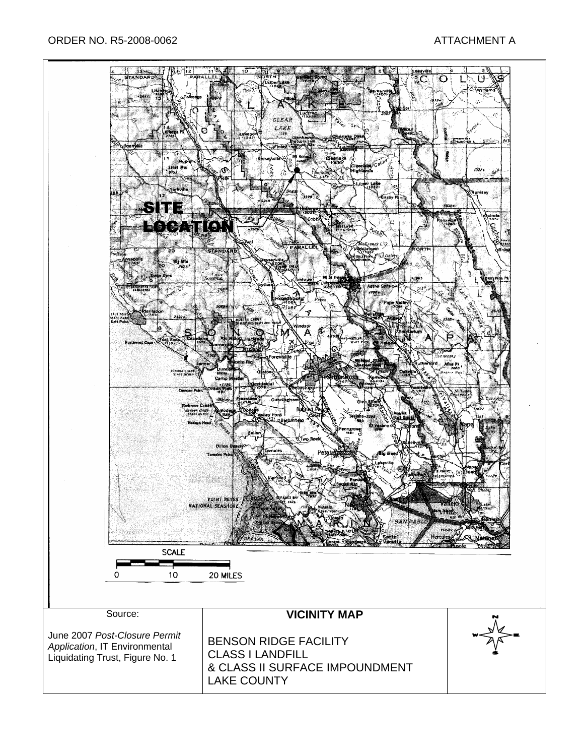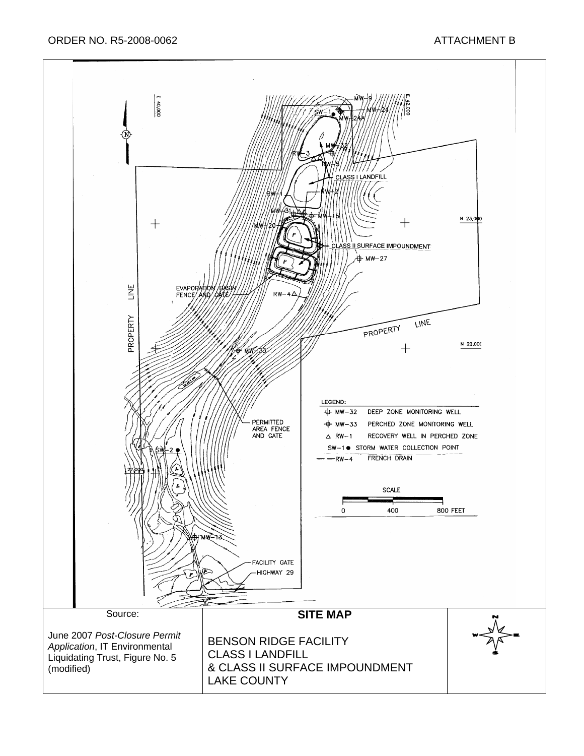ORDER NO. R5-2008-0062 ATTACHMENT B

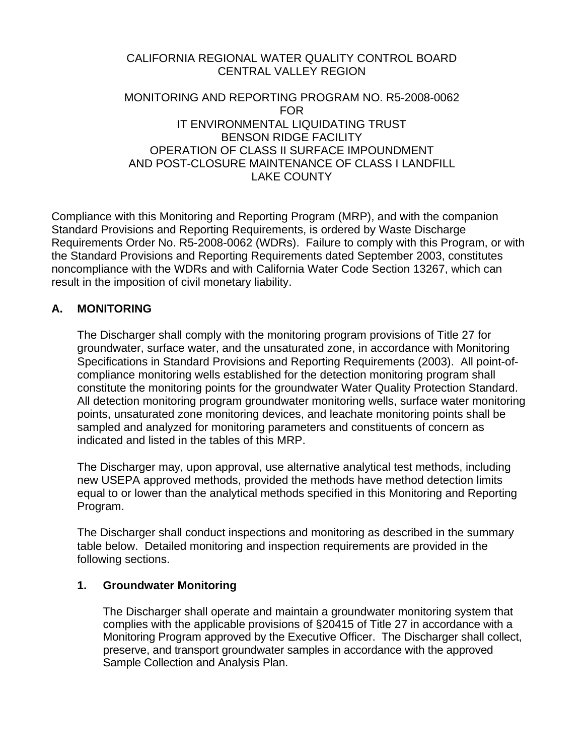# CALIFORNIA REGIONAL WATER QUALITY CONTROL BOARD CENTRAL VALLEY REGION

#### MONITORING AND REPORTING PROGRAM NO. R5-2008-0062 FOR IT ENVIRONMENTAL LIQUIDATING TRUST BENSON RIDGE FACILITY OPERATION OF CLASS II SURFACE IMPOUNDMENT AND POST-CLOSURE MAINTENANCE OF CLASS I LANDFILL LAKE COUNTY

Compliance with this Monitoring and Reporting Program (MRP), and with the companion Standard Provisions and Reporting Requirements, is ordered by Waste Discharge Requirements Order No. R5-2008-0062 (WDRs). Failure to comply with this Program, or with the Standard Provisions and Reporting Requirements dated September 2003, constitutes noncompliance with the WDRs and with California Water Code Section 13267, which can result in the imposition of civil monetary liability.

# **A. MONITORING**

The Discharger shall comply with the monitoring program provisions of Title 27 for groundwater, surface water, and the unsaturated zone, in accordance with Monitoring Specifications in Standard Provisions and Reporting Requirements (2003). All point-ofcompliance monitoring wells established for the detection monitoring program shall constitute the monitoring points for the groundwater Water Quality Protection Standard. All detection monitoring program groundwater monitoring wells, surface water monitoring points, unsaturated zone monitoring devices, and leachate monitoring points shall be sampled and analyzed for monitoring parameters and constituents of concern as indicated and listed in the tables of this MRP.

The Discharger may, upon approval, use alternative analytical test methods, including new USEPA approved methods, provided the methods have method detection limits equal to or lower than the analytical methods specified in this Monitoring and Reporting Program.

The Discharger shall conduct inspections and monitoring as described in the summary table below. Detailed monitoring and inspection requirements are provided in the following sections.

#### **1. Groundwater Monitoring**

The Discharger shall operate and maintain a groundwater monitoring system that complies with the applicable provisions of §20415 of Title 27 in accordance with a Monitoring Program approved by the Executive Officer. The Discharger shall collect, preserve, and transport groundwater samples in accordance with the approved Sample Collection and Analysis Plan.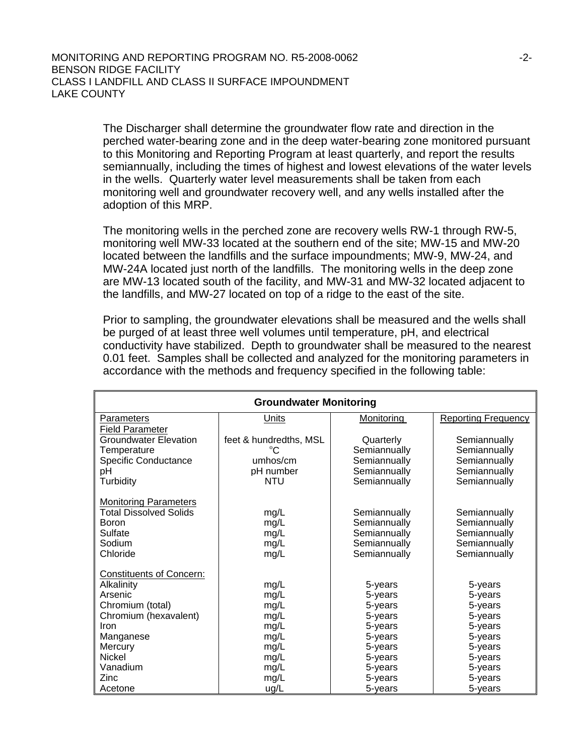The Discharger shall determine the groundwater flow rate and direction in the perched water-bearing zone and in the deep water-bearing zone monitored pursuant to this Monitoring and Reporting Program at least quarterly, and report the results semiannually, including the times of highest and lowest elevations of the water levels in the wells. Quarterly water level measurements shall be taken from each monitoring well and groundwater recovery well, and any wells installed after the adoption of this MRP.

The monitoring wells in the perched zone are recovery wells RW-1 through RW-5, monitoring well MW-33 located at the southern end of the site; MW-15 and MW-20 located between the landfills and the surface impoundments; MW-9, MW-24, and MW-24A located just north of the landfills. The monitoring wells in the deep zone are MW-13 located south of the facility, and MW-31 and MW-32 located adjacent to the landfills, and MW-27 located on top of a ridge to the east of the site.

Prior to sampling, the groundwater elevations shall be measured and the wells shall be purged of at least three well volumes until temperature, pH, and electrical conductivity have stabilized. Depth to groundwater shall be measured to the nearest 0.01 feet. Samples shall be collected and analyzed for the monitoring parameters in accordance with the methods and frequency specified in the following table:

| <b>Groundwater Monitoring</b>   |                        |                   |                            |  |
|---------------------------------|------------------------|-------------------|----------------------------|--|
| <b>Parameters</b>               | <u>Units</u>           | <b>Monitoring</b> | <b>Reporting Frequency</b> |  |
| <b>Field Parameter</b>          |                        |                   |                            |  |
| <b>Groundwater Elevation</b>    | feet & hundredths, MSL | Quarterly         | Semiannually               |  |
| Temperature                     | $^{\circ}C$            | Semiannually      | Semiannually               |  |
| <b>Specific Conductance</b>     | umhos/cm               | Semiannually      | Semiannually               |  |
| pH                              | pH number              | Semiannually      | Semiannually               |  |
| Turbidity                       | NTU                    | Semiannually      | Semiannually               |  |
| <b>Monitoring Parameters</b>    |                        |                   |                            |  |
| Total Dissolved Solids          | mg/L                   | Semiannually      | Semiannually               |  |
| Boron                           | mg/L                   | Semiannually      | Semiannually               |  |
| Sulfate                         | mg/L                   | Semiannually      | Semiannually               |  |
| Sodium                          | mg/L                   | Semiannually      | Semiannually               |  |
| Chloride                        | mg/L                   | Semiannually      | Semiannually               |  |
| <b>Constituents of Concern:</b> |                        |                   |                            |  |
| Alkalinity                      | mg/L                   | 5-years           | 5-years                    |  |
| Arsenic                         | mg/L                   | 5-years           | 5-years                    |  |
| Chromium (total)                | mg/L                   | 5-years           | 5-years                    |  |
| Chromium (hexavalent)           | mg/L                   | 5-years           | 5-years                    |  |
| Iron                            | mg/L                   | 5-years           | 5-years                    |  |
| Manganese                       | mg/L                   | 5-years           | 5-years                    |  |
| Mercury                         | mg/L                   | 5-years           | 5-years                    |  |
| <b>Nickel</b>                   | mg/L                   | 5-years           | 5-years                    |  |
| Vanadium                        | mg/L                   | 5-years           | 5-years                    |  |
| Zinc                            | mg/L                   | 5-years           | 5-years                    |  |
| Acetone                         | ug/L                   | 5-years           | 5-years                    |  |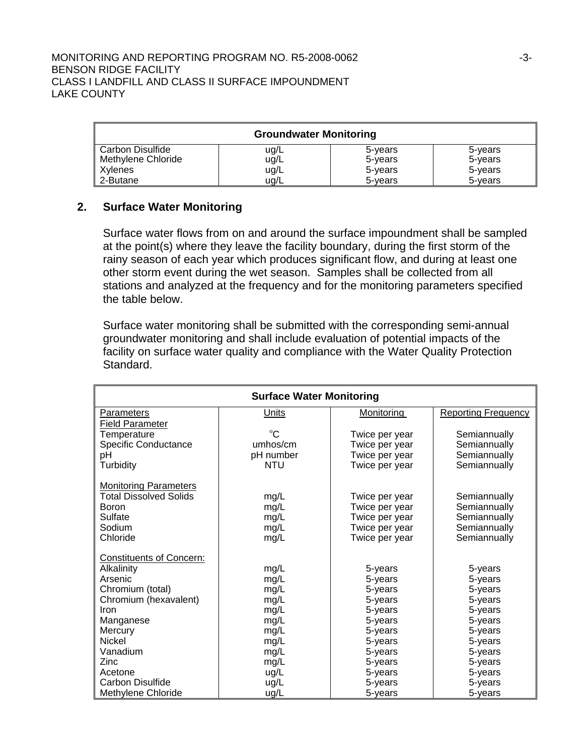|                                        | <b>Groundwater Monitoring</b> |                    |                    |
|----------------------------------------|-------------------------------|--------------------|--------------------|
| Carbon Disulfide<br>Methylene Chloride | ug/L<br>ug/L                  | 5-years<br>5-years | 5-years<br>5-years |
| Xylenes                                | ug/L                          | 5-years            | 5-years            |
| 2-Butane                               | ug/L                          | 5-years            | 5-years            |

# **2. Surface Water Monitoring**

Surface water flows from on and around the surface impoundment shall be sampled at the point(s) where they leave the facility boundary, during the first storm of the rainy season of each year which produces significant flow, and during at least one other storm event during the wet season. Samples shall be collected from all stations and analyzed at the frequency and for the monitoring parameters specified the table below.

Surface water monitoring shall be submitted with the corresponding semi-annual groundwater monitoring and shall include evaluation of potential impacts of the facility on surface water quality and compliance with the Water Quality Protection Standard.

| <b>Surface Water Monitoring</b> |             |                   |                            |  |
|---------------------------------|-------------|-------------------|----------------------------|--|
| <b>Parameters</b>               | Units       | <b>Monitoring</b> | <b>Reporting Frequency</b> |  |
| Field Parameter                 |             |                   |                            |  |
| Temperature                     | $\rm ^{o}C$ | Twice per year    | Semiannually               |  |
| Specific Conductance            | umhos/cm    | Twice per year    | Semiannually               |  |
| рH                              | pH number   | Twice per year    | Semiannually               |  |
| Turbidity                       | <b>NTU</b>  | Twice per year    | Semiannually               |  |
| <b>Monitoring Parameters</b>    |             |                   |                            |  |
| <b>Total Dissolved Solids</b>   | mg/L        | Twice per year    | Semiannually               |  |
| <b>Boron</b>                    | mg/L        | Twice per year    | Semiannually               |  |
| Sulfate                         | mg/L        | Twice per year    | Semiannually               |  |
| Sodium                          | mg/L        | Twice per year    | Semiannually               |  |
| Chloride                        | mg/L        | Twice per year    | Semiannually               |  |
| <b>Constituents of Concern:</b> |             |                   |                            |  |
| Alkalinity                      | mg/L        | 5-years           | 5-years                    |  |
| Arsenic                         | mg/L        | 5-years           | 5-years                    |  |
| Chromium (total)                | mg/L        | 5-years           | 5-years                    |  |
| Chromium (hexavalent)           | mg/L        | 5-years           | 5-years                    |  |
| Iron                            | mg/L        | 5-years           | 5-years                    |  |
| Manganese                       | mg/L        | 5-years           | 5-years                    |  |
| Mercury                         | mg/L        | 5-years           | 5-years                    |  |
| <b>Nickel</b>                   | mg/L        | 5-years           | 5-years                    |  |
| Vanadium                        | mg/L        | 5-years           | 5-years                    |  |
| Zinc                            | mg/L        | 5-years           | 5-years                    |  |
| Acetone                         | ug/L        | 5-years           | 5-years                    |  |
| Carbon Disulfide                | ug/L        | 5-years           | 5-years                    |  |
| Methylene Chloride              | ug/L        | 5-years           | 5-years                    |  |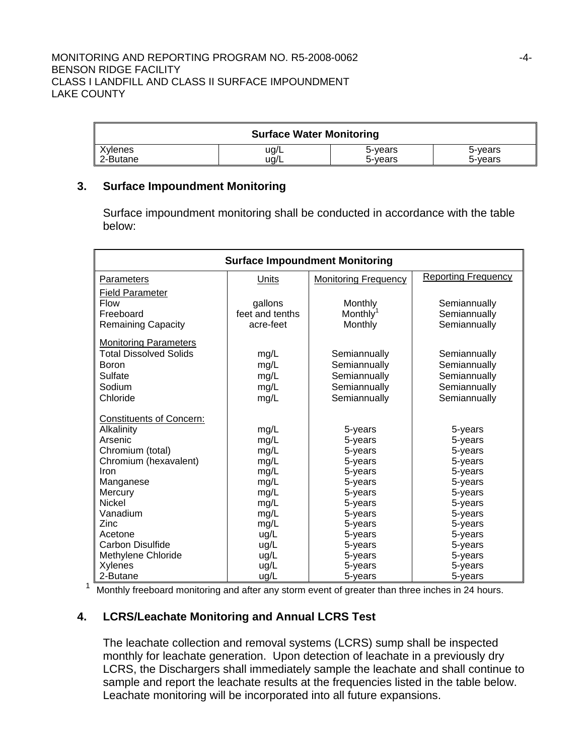|          | <b>Surface Water Monitoring</b> |         |         |
|----------|---------------------------------|---------|---------|
| Xylenes  | ug/L                            | 5-years | 5-years |
| 2-Butane | ua/L                            | 5-vears | 5-vears |

### **3. Surface Impoundment Monitoring**

Surface impoundment monitoring shall be conducted in accordance with the table below:

| <b>Surface Impoundment Monitoring</b> |                            |                                 |                              |
|---------------------------------------|----------------------------|---------------------------------|------------------------------|
| Parameters                            | Units                      | <b>Monitoring Frequency</b>     | <b>Reporting Frequency</b>   |
| Field Parameter<br><b>Flow</b>        |                            |                                 |                              |
| Freeboard                             | gallons<br>feet and tenths | Monthly<br>Monthly <sup>1</sup> | Semiannually<br>Semiannually |
| <b>Remaining Capacity</b>             | acre-feet                  | Monthly                         | Semiannually                 |
| <b>Monitoring Parameters</b>          |                            |                                 |                              |
| Total Dissolved Solids                | mg/L                       | Semiannually                    | Semiannually                 |
| Boron                                 | mg/L                       | Semiannually                    | Semiannually                 |
| Sulfate                               | mg/L                       | Semiannually                    | Semiannually                 |
| Sodium                                | mg/L                       | Semiannually                    | Semiannually                 |
| Chloride                              | mg/L                       | Semiannually                    | Semiannually                 |
| <b>Constituents of Concern:</b>       |                            |                                 |                              |
| Alkalinity                            | mg/L                       | 5-years                         | 5-years                      |
| Arsenic                               | mg/L                       | 5-years                         | 5-years                      |
| Chromium (total)                      | mg/L                       | 5-years                         | 5-years                      |
| Chromium (hexavalent)                 | mg/L                       | 5-years                         | 5-years                      |
| Iron                                  | mg/L                       | 5-years                         | 5-years                      |
| Manganese                             | mg/L                       | 5-years                         | 5-years                      |
| Mercury                               | mg/L                       | 5-years                         | 5-years                      |
| <b>Nickel</b>                         | mg/L                       | 5-years                         | 5-years                      |
| Vanadium                              | mg/L                       | 5-years                         | 5-years                      |
| Zinc                                  | mg/L                       | 5-years                         | 5-years                      |
| Acetone                               | ug/L                       | 5-years                         | 5-years                      |
| <b>Carbon Disulfide</b>               | ug/L                       | 5-years                         | 5-years                      |
| Methylene Chloride                    | ug/L                       | 5-years                         | 5-years                      |
| Xylenes                               | ug/L                       | 5-years                         | 5-years                      |
| 2-Butane                              | ug/L                       | 5-years                         | 5-years                      |

<sup>1</sup> Monthly freeboard monitoring and after any storm event of greater than three inches in 24 hours.

# **4. LCRS/Leachate Monitoring and Annual LCRS Test**

The leachate collection and removal systems (LCRS) sump shall be inspected monthly for leachate generation. Upon detection of leachate in a previously dry LCRS, the Dischargers shall immediately sample the leachate and shall continue to sample and report the leachate results at the frequencies listed in the table below. Leachate monitoring will be incorporated into all future expansions.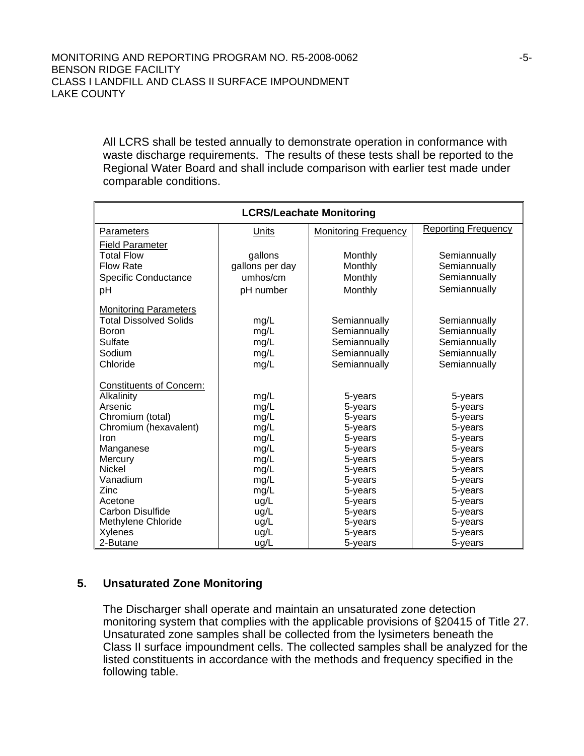All LCRS shall be tested annually to demonstrate operation in conformance with waste discharge requirements. The results of these tests shall be reported to the Regional Water Board and shall include comparison with earlier test made under comparable conditions.

| <b>LCRS/Leachate Monitoring</b>    |                 |                             |                            |
|------------------------------------|-----------------|-----------------------------|----------------------------|
| Parameters                         | Units           | <b>Monitoring Frequency</b> | <b>Reporting Frequency</b> |
| <b>Field Parameter</b>             |                 |                             |                            |
| <b>Total Flow</b>                  | gallons         | Monthly                     | Semiannually               |
| <b>Flow Rate</b>                   | gallons per day | Monthly                     | Semiannually               |
| <b>Specific Conductance</b>        | umhos/cm        | Monthly                     | Semiannually               |
| рH                                 | pH number       | Monthly                     | Semiannually               |
| <b>Monitoring Parameters</b>       |                 |                             |                            |
| <b>Total Dissolved Solids</b>      | mg/L            | Semiannually                | Semiannually               |
| Boron                              | mg/L            | Semiannually                | Semiannually               |
| Sulfate                            | mg/L            | Semiannually                | Semiannually               |
| Sodium                             | mg/L            | Semiannually                | Semiannually               |
| Chloride                           | mg/L            | Semiannually                | Semiannually               |
| <b>Constituents of Concern:</b>    |                 |                             |                            |
| Alkalinity                         | mg/L            | 5-years                     | 5-years                    |
| Arsenic                            | mg/L            | 5-years                     | 5-years                    |
| Chromium (total)                   | mg/L            | 5-years                     | 5-years                    |
| Chromium (hexavalent)              | mg/L            | 5-years                     | 5-years                    |
| Iron                               | mg/L            | 5-years                     | 5-years                    |
| Manganese                          | mg/L            | 5-years                     | 5-years                    |
| Mercury                            | mg/L            | 5-years                     | 5-years                    |
| <b>Nickel</b>                      | mg/L            | 5-years                     | 5-years                    |
| Vanadium                           | mg/L            | 5-years                     | 5-years                    |
| Zinc                               | mg/L            | 5-years                     | 5-years                    |
| Acetone<br><b>Carbon Disulfide</b> | ug/L            | 5-years                     | 5-years                    |
| Methylene Chloride                 | ug/L            | 5-years                     | 5-years                    |
| Xylenes                            | ug/L<br>ug/L    | 5-years<br>5-years          | 5-years<br>5-years         |
|                                    |                 |                             |                            |
| 2-Butane                           | ug/L            | 5-years                     | 5-years                    |

# **5. Unsaturated Zone Monitoring**

The Discharger shall operate and maintain an unsaturated zone detection monitoring system that complies with the applicable provisions of §20415 of Title 27. Unsaturated zone samples shall be collected from the lysimeters beneath the Class II surface impoundment cells. The collected samples shall be analyzed for the listed constituents in accordance with the methods and frequency specified in the following table.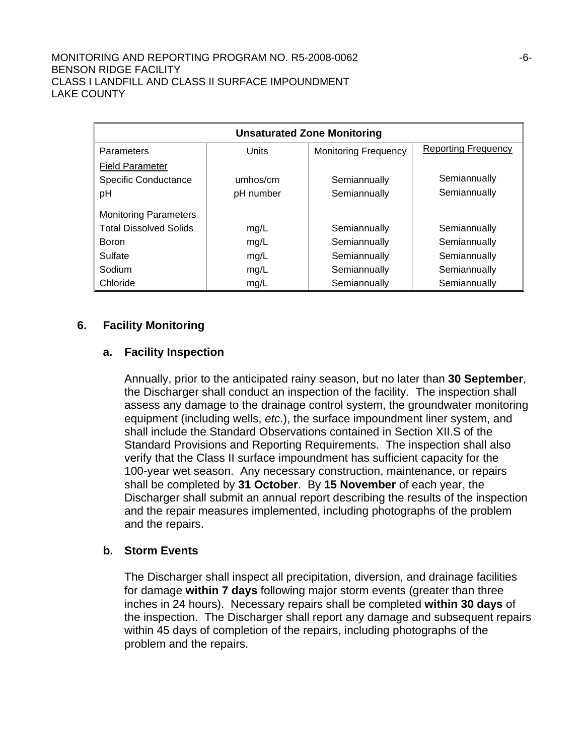| <b>Unsaturated Zone Monitoring</b> |           |                             |                            |
|------------------------------------|-----------|-----------------------------|----------------------------|
| Parameters                         | Units     | <b>Monitoring Frequency</b> | <b>Reporting Frequency</b> |
| <b>Field Parameter</b>             |           |                             |                            |
| <b>Specific Conductance</b>        | umhos/cm  | Semiannually                | Semiannually               |
| pH                                 | pH number | Semiannually                | Semiannually               |
| <b>Monitoring Parameters</b>       |           |                             |                            |
| <b>Total Dissolved Solids</b>      | mg/L      | Semiannually                | Semiannually               |
| <b>Boron</b>                       | mg/L      | Semiannually                | Semiannually               |
| Sulfate                            | mg/L      | Semiannually                | Semiannually               |
| Sodium                             | mg/L      | Semiannually                | Semiannually               |
| Chloride                           | mg/L      | Semiannually                | Semiannually               |

#### **6. Facility Monitoring**

#### **a. Facility Inspection**

Annually, prior to the anticipated rainy season, but no later than **30 September**, the Discharger shall conduct an inspection of the facility. The inspection shall assess any damage to the drainage control system, the groundwater monitoring equipment (including wells, *etc*.), the surface impoundment liner system, and shall include the Standard Observations contained in Section XII.S of the Standard Provisions and Reporting Requirements. The inspection shall also verify that the Class II surface impoundment has sufficient capacity for the 100-year wet season. Any necessary construction, maintenance, or repairs shall be completed by **31 October**. By **15 November** of each year, the Discharger shall submit an annual report describing the results of the inspection and the repair measures implemented, including photographs of the problem and the repairs.

#### **b. Storm Events**

The Discharger shall inspect all precipitation, diversion, and drainage facilities for damage **within 7 days** following major storm events (greater than three inches in 24 hours). Necessary repairs shall be completed **within 30 days** of the inspection. The Discharger shall report any damage and subsequent repairs within 45 days of completion of the repairs, including photographs of the problem and the repairs.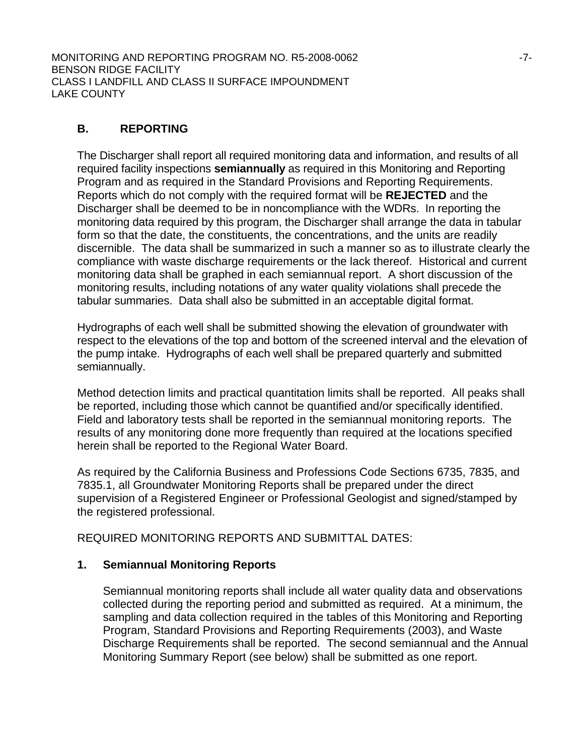MONITORING AND REPORTING PROGRAM NO. R5-2008-0062 -7- BENSON RIDGE FACILITY CLASS I LANDFILL AND CLASS II SURFACE IMPOUNDMENT LAKE COUNTY

# **B. REPORTING**

The Discharger shall report all required monitoring data and information, and results of all required facility inspections **semiannually** as required in this Monitoring and Reporting Program and as required in the Standard Provisions and Reporting Requirements. Reports which do not comply with the required format will be **REJECTED** and the Discharger shall be deemed to be in noncompliance with the WDRs. In reporting the monitoring data required by this program, the Discharger shall arrange the data in tabular form so that the date, the constituents, the concentrations, and the units are readily discernible. The data shall be summarized in such a manner so as to illustrate clearly the compliance with waste discharge requirements or the lack thereof. Historical and current monitoring data shall be graphed in each semiannual report. A short discussion of the monitoring results, including notations of any water quality violations shall precede the tabular summaries. Data shall also be submitted in an acceptable digital format.

Hydrographs of each well shall be submitted showing the elevation of groundwater with respect to the elevations of the top and bottom of the screened interval and the elevation of the pump intake. Hydrographs of each well shall be prepared quarterly and submitted semiannually.

Method detection limits and practical quantitation limits shall be reported. All peaks shall be reported, including those which cannot be quantified and/or specifically identified. Field and laboratory tests shall be reported in the semiannual monitoring reports. The results of any monitoring done more frequently than required at the locations specified herein shall be reported to the Regional Water Board.

As required by the California Business and Professions Code Sections 6735, 7835, and 7835.1, all Groundwater Monitoring Reports shall be prepared under the direct supervision of a Registered Engineer or Professional Geologist and signed/stamped by the registered professional.

REQUIRED MONITORING REPORTS AND SUBMITTAL DATES:

# **1. Semiannual Monitoring Reports**

 Semiannual monitoring reports shall include all water quality data and observations collected during the reporting period and submitted as required. At a minimum, the sampling and data collection required in the tables of this Monitoring and Reporting Program, Standard Provisions and Reporting Requirements (2003), and Waste Discharge Requirements shall be reported. The second semiannual and the Annual Monitoring Summary Report (see below) shall be submitted as one report.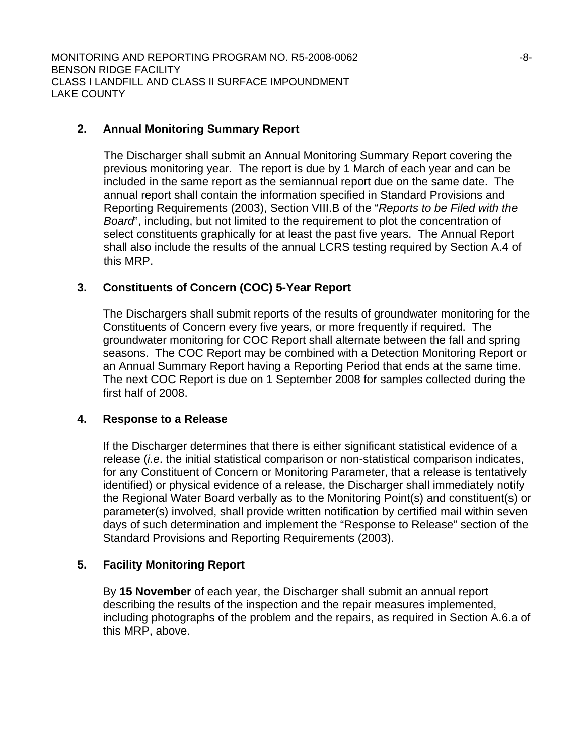MONITORING AND REPORTING PROGRAM NO. R5-2008-0062 -8- BENSON RIDGE FACILITY CLASS I LANDFILL AND CLASS II SURFACE IMPOUNDMENT LAKE COUNTY

# **2. Annual Monitoring Summary Report**

 The Discharger shall submit an Annual Monitoring Summary Report covering the previous monitoring year. The report is due by 1 March of each year and can be included in the same report as the semiannual report due on the same date. The annual report shall contain the information specified in Standard Provisions and Reporting Requirements (2003), Section VIII.B of the "*Reports to be Filed with the Board*", including, but not limited to the requirement to plot the concentration of select constituents graphically for at least the past five years. The Annual Report shall also include the results of the annual LCRS testing required by Section A.4 of this MRP.

# **3. Constituents of Concern (COC) 5-Year Report**

 The Dischargers shall submit reports of the results of groundwater monitoring for the Constituents of Concern every five years, or more frequently if required. The groundwater monitoring for COC Report shall alternate between the fall and spring seasons. The COC Report may be combined with a Detection Monitoring Report or an Annual Summary Report having a Reporting Period that ends at the same time. The next COC Report is due on 1 September 2008 for samples collected during the first half of 2008.

#### **4. Response to a Release**

If the Discharger determines that there is either significant statistical evidence of a release (*i.e*. the initial statistical comparison or non-statistical comparison indicates, for any Constituent of Concern or Monitoring Parameter, that a release is tentatively identified) or physical evidence of a release, the Discharger shall immediately notify the Regional Water Board verbally as to the Monitoring Point(s) and constituent(s) or parameter(s) involved, shall provide written notification by certified mail within seven days of such determination and implement the "Response to Release" section of the Standard Provisions and Reporting Requirements (2003).

# **5. Facility Monitoring Report**

By **15 November** of each year, the Discharger shall submit an annual report describing the results of the inspection and the repair measures implemented, including photographs of the problem and the repairs, as required in Section A.6.a of this MRP, above.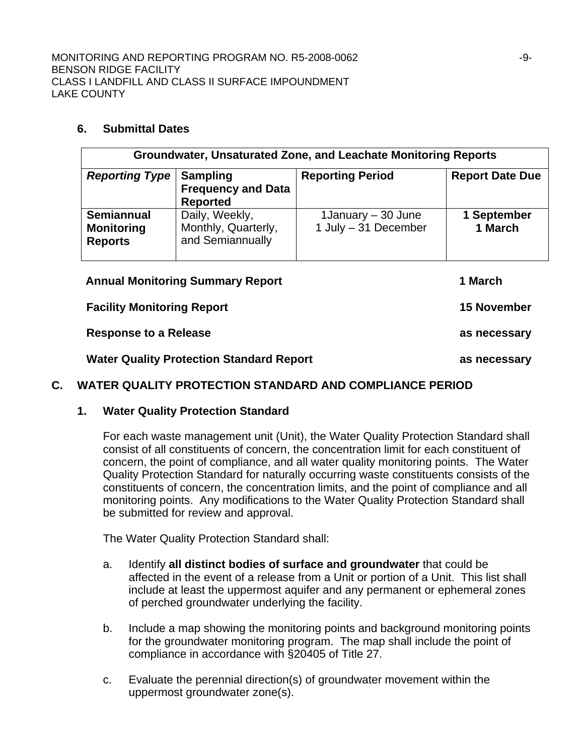### **6. Submittal Dates**

| Groundwater, Unsaturated Zone, and Leachate Monitoring Reports |                                                                 |                                             |                        |  |
|----------------------------------------------------------------|-----------------------------------------------------------------|---------------------------------------------|------------------------|--|
| <b>Reporting Type</b>                                          | <b>Sampling</b><br><b>Frequency and Data</b><br><b>Reported</b> | <b>Reporting Period</b>                     | <b>Report Date Due</b> |  |
| <b>Semiannual</b><br><b>Monitoring</b><br><b>Reports</b>       | Daily, Weekly,<br>Monthly, Quarterly,<br>and Semiannually       | 1January $-30$ June<br>1 July - 31 December | 1 September<br>1 March |  |

| <b>Annual Monitoring Summary Report</b>         | 1 March            |
|-------------------------------------------------|--------------------|
| <b>Facility Monitoring Report</b>               | <b>15 November</b> |
| <b>Response to a Release</b>                    | as necessary       |
| <b>Water Quality Protection Standard Report</b> | as necessary       |
|                                                 |                    |

# **C. WATER QUALITY PROTECTION STANDARD AND COMPLIANCE PERIOD**

# **1. Water Quality Protection Standard**

For each waste management unit (Unit), the Water Quality Protection Standard shall consist of all constituents of concern, the concentration limit for each constituent of concern, the point of compliance, and all water quality monitoring points. The Water Quality Protection Standard for naturally occurring waste constituents consists of the constituents of concern, the concentration limits, and the point of compliance and all monitoring points. Any modifications to the Water Quality Protection Standard shall be submitted for review and approval.

The Water Quality Protection Standard shall:

- a. Identify **all distinct bodies of surface and groundwater** that could be affected in the event of a release from a Unit or portion of a Unit. This list shall include at least the uppermost aquifer and any permanent or ephemeral zones of perched groundwater underlying the facility.
- b. Include a map showing the monitoring points and background monitoring points for the groundwater monitoring program. The map shall include the point of compliance in accordance with §20405 of Title 27.
- c. Evaluate the perennial direction(s) of groundwater movement within the uppermost groundwater zone(s).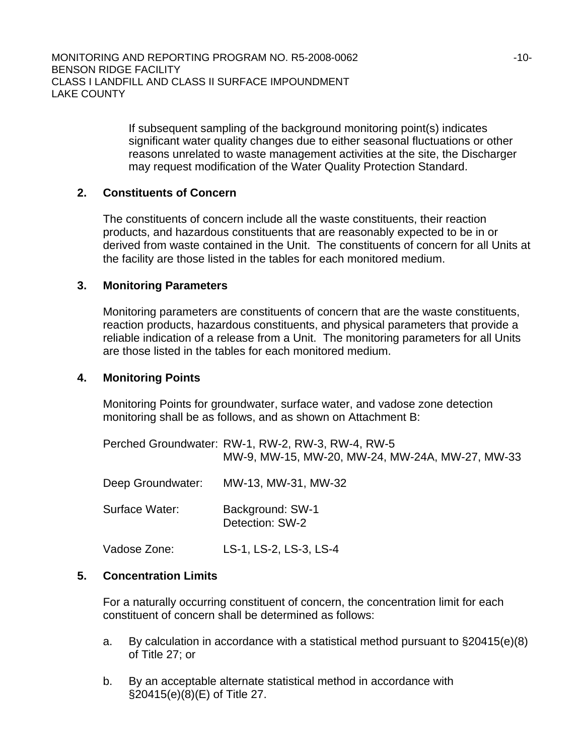If subsequent sampling of the background monitoring point(s) indicates significant water quality changes due to either seasonal fluctuations or other reasons unrelated to waste management activities at the site, the Discharger may request modification of the Water Quality Protection Standard.

# **2. Constituents of Concern**

The constituents of concern include all the waste constituents, their reaction products, and hazardous constituents that are reasonably expected to be in or derived from waste contained in the Unit. The constituents of concern for all Units at the facility are those listed in the tables for each monitored medium.

#### **3. Monitoring Parameters**

Monitoring parameters are constituents of concern that are the waste constituents, reaction products, hazardous constituents, and physical parameters that provide a reliable indication of a release from a Unit. The monitoring parameters for all Units are those listed in the tables for each monitored medium.

#### **4. Monitoring Points**

Monitoring Points for groundwater, surface water, and vadose zone detection monitoring shall be as follows, and as shown on Attachment B:

|                   | Perched Groundwater: RW-1, RW-2, RW-3, RW-4, RW-5<br>MW-9, MW-15, MW-20, MW-24, MW-24A, MW-27, MW-33 |
|-------------------|------------------------------------------------------------------------------------------------------|
| Deep Groundwater: | MW-13, MW-31, MW-32                                                                                  |
| Surface Water:    | Background: SW-1<br>Detection: SW-2                                                                  |
| Vadose Zone:      | LS-1, LS-2, LS-3, LS-4                                                                               |

# **5. Concentration Limits**

For a naturally occurring constituent of concern, the concentration limit for each constituent of concern shall be determined as follows:

- a. By calculation in accordance with a statistical method pursuant to §20415(e)(8) of Title 27; or
- b. By an acceptable alternate statistical method in accordance with §20415(e)(8)(E) of Title 27.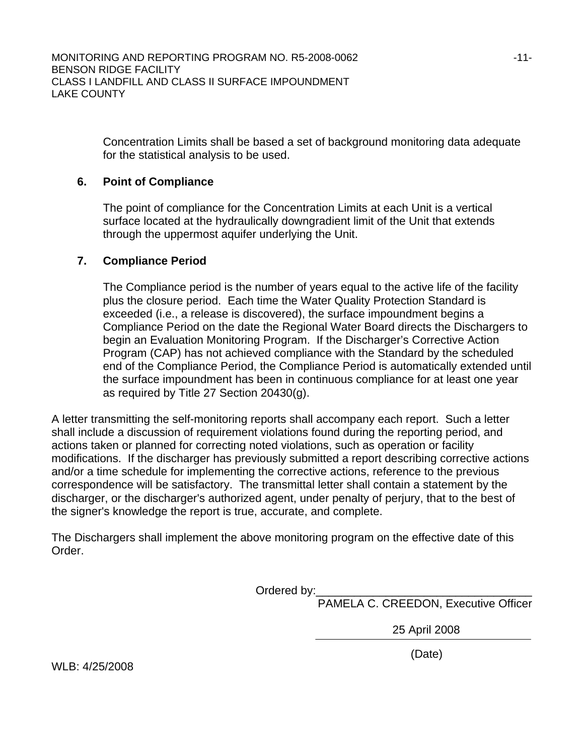Concentration Limits shall be based a set of background monitoring data adequate for the statistical analysis to be used.

# **6. Point of Compliance**

The point of compliance for the Concentration Limits at each Unit is a vertical surface located at the hydraulically downgradient limit of the Unit that extends through the uppermost aquifer underlying the Unit.

# **7. Compliance Period**

The Compliance period is the number of years equal to the active life of the facility plus the closure period. Each time the Water Quality Protection Standard is exceeded (i.e., a release is discovered), the surface impoundment begins a Compliance Period on the date the Regional Water Board directs the Dischargers to begin an Evaluation Monitoring Program. If the Discharger's Corrective Action Program (CAP) has not achieved compliance with the Standard by the scheduled end of the Compliance Period, the Compliance Period is automatically extended until the surface impoundment has been in continuous compliance for at least one year as required by Title 27 Section 20430(g).

A letter transmitting the self-monitoring reports shall accompany each report. Such a letter shall include a discussion of requirement violations found during the reporting period, and actions taken or planned for correcting noted violations, such as operation or facility modifications. If the discharger has previously submitted a report describing corrective actions and/or a time schedule for implementing the corrective actions, reference to the previous correspondence will be satisfactory. The transmittal letter shall contain a statement by the discharger, or the discharger's authorized agent, under penalty of perjury, that to the best of the signer's knowledge the report is true, accurate, and complete.

The Dischargers shall implement the above monitoring program on the effective date of this Order.

Ordered by:\_\_

PAMELA C. CREEDON, Executive Officer

25 April 2008

(Date)

WLB: 4/25/2008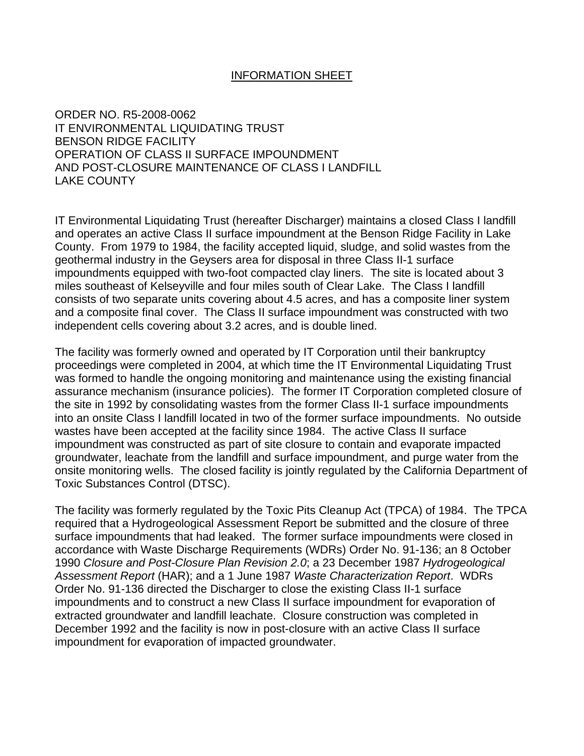#### INFORMATION SHEET

ORDER NO. R5-2008-0062 IT ENVIRONMENTAL LIQUIDATING TRUST BENSON RIDGE FACILITY OPERATION OF CLASS II SURFACE IMPOUNDMENT AND POST-CLOSURE MAINTENANCE OF CLASS I LANDFILL LAKE COUNTY

IT Environmental Liquidating Trust (hereafter Discharger) maintains a closed Class I landfill and operates an active Class II surface impoundment at the Benson Ridge Facility in Lake County. From 1979 to 1984, the facility accepted liquid, sludge, and solid wastes from the geothermal industry in the Geysers area for disposal in three Class II-1 surface impoundments equipped with two-foot compacted clay liners. The site is located about 3 miles southeast of Kelseyville and four miles south of Clear Lake. The Class I landfill consists of two separate units covering about 4.5 acres, and has a composite liner system and a composite final cover. The Class II surface impoundment was constructed with two independent cells covering about 3.2 acres, and is double lined.

The facility was formerly owned and operated by IT Corporation until their bankruptcy proceedings were completed in 2004, at which time the IT Environmental Liquidating Trust was formed to handle the ongoing monitoring and maintenance using the existing financial assurance mechanism (insurance policies). The former IT Corporation completed closure of the site in 1992 by consolidating wastes from the former Class II-1 surface impoundments into an onsite Class I landfill located in two of the former surface impoundments. No outside wastes have been accepted at the facility since 1984. The active Class II surface impoundment was constructed as part of site closure to contain and evaporate impacted groundwater, leachate from the landfill and surface impoundment, and purge water from the onsite monitoring wells. The closed facility is jointly regulated by the California Department of Toxic Substances Control (DTSC).

The facility was formerly regulated by the Toxic Pits Cleanup Act (TPCA) of 1984. The TPCA required that a Hydrogeological Assessment Report be submitted and the closure of three surface impoundments that had leaked. The former surface impoundments were closed in accordance with Waste Discharge Requirements (WDRs) Order No. 91-136; an 8 October 1990 *Closure and Post-Closure Plan Revision 2.0*; a 23 December 1987 *Hydrogeological Assessment Report* (HAR); and a 1 June 1987 *Waste Characterization Report*. WDRs Order No. 91-136 directed the Discharger to close the existing Class II-1 surface impoundments and to construct a new Class II surface impoundment for evaporation of extracted groundwater and landfill leachate. Closure construction was completed in December 1992 and the facility is now in post-closure with an active Class II surface impoundment for evaporation of impacted groundwater.